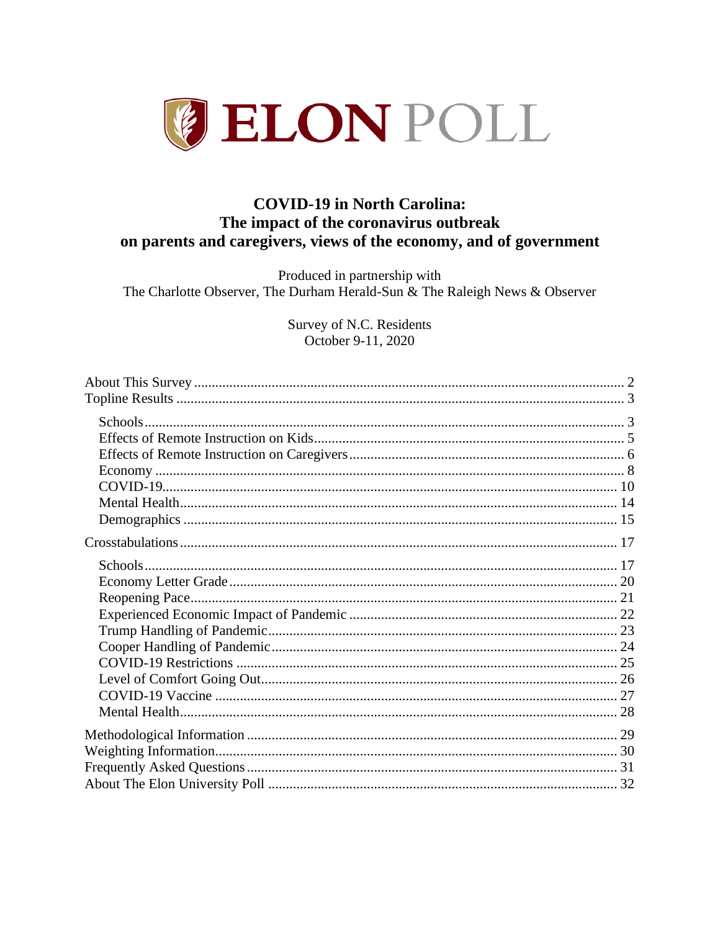

# **COVID-19 in North Carolina:** The impact of the coronavirus outbreak on parents and caregivers, views of the economy, and of government

Produced in partnership with The Charlotte Observer, The Durham Herald-Sun & The Raleigh News & Observer

> Survey of N.C. Residents October 9-11, 2020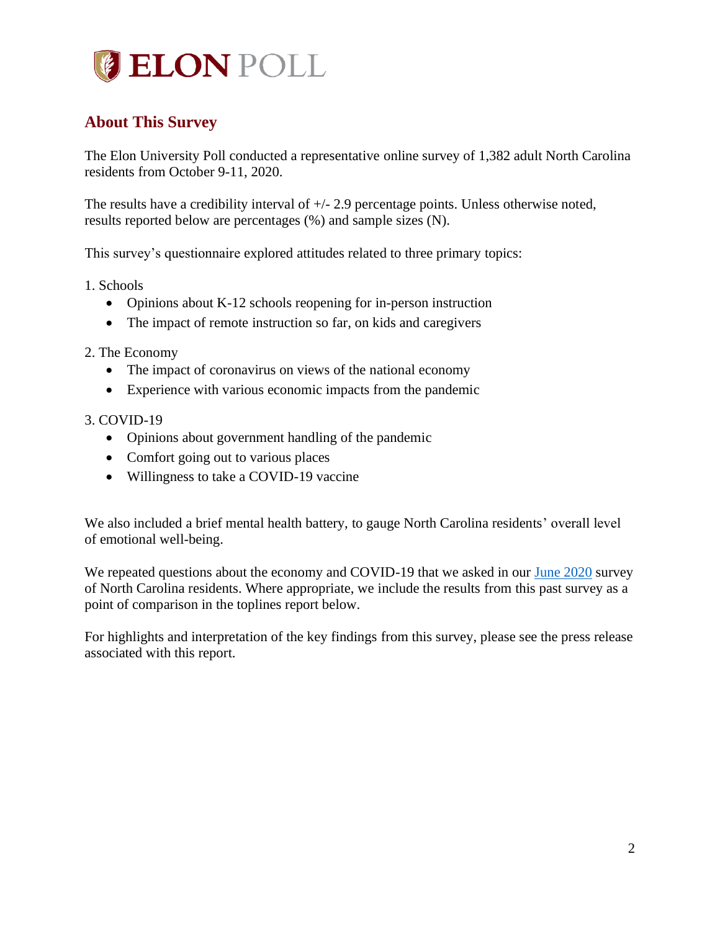# **BELON POLL**

# <span id="page-1-0"></span>**About This Survey**

The Elon University Poll conducted a representative online survey of 1,382 adult North Carolina residents from October 9-11, 2020.

The results have a credibility interval of +/- 2.9 percentage points. Unless otherwise noted, results reported below are percentages (%) and sample sizes (N).

This survey's questionnaire explored attitudes related to three primary topics:

1. Schools

- Opinions about K-12 schools reopening for in-person instruction
- The impact of remote instruction so far, on kids and caregivers

2. The Economy

- The impact of coronavirus on views of the national economy
- Experience with various economic impacts from the pandemic

#### 3. COVID-19

- Opinions about government handling of the pandemic
- Comfort going out to various places
- Willingness to take a COVID-19 vaccine

We also included a brief mental health battery, to gauge North Carolina residents' overall level of emotional well-being.

We repeated questions about the economy and COVID-19 that we asked in our [June 2020](http://www.elon.edu/u/elon-poll/wp-content/uploads/sites/819/2020/07/elon-poll-june-covid-final.pdf) survey of North Carolina residents. Where appropriate, we include the results from this past survey as a point of comparison in the toplines report below.

For highlights and interpretation of the key findings from this survey, please see the press release associated with this report.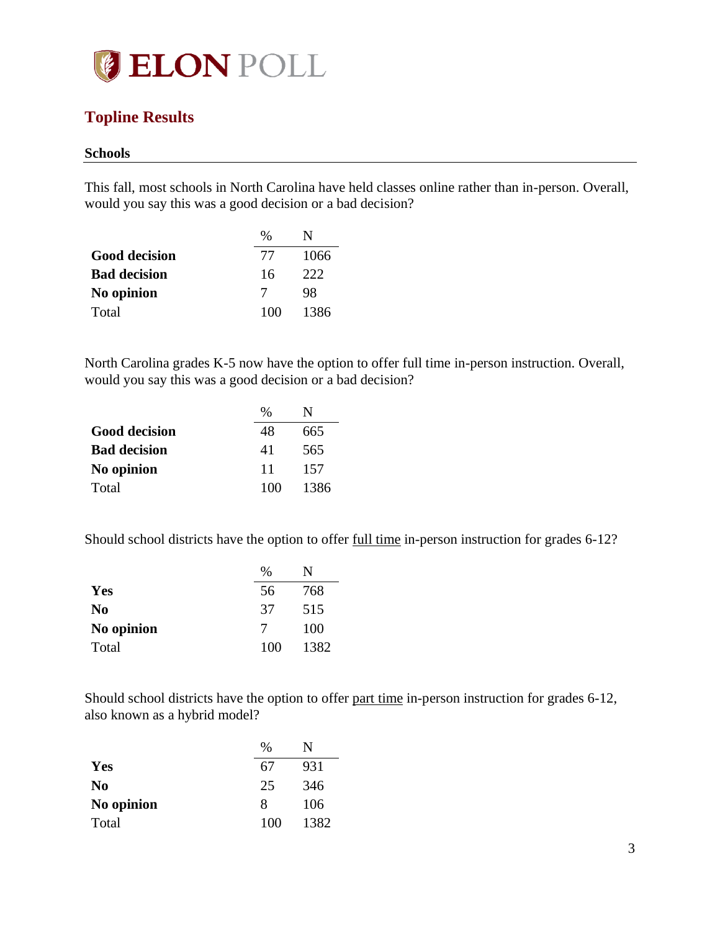

# <span id="page-2-0"></span>**Topline Results**

#### <span id="page-2-1"></span>**Schools**

This fall, most schools in North Carolina have held classes online rather than in-person. Overall, would you say this was a good decision or a bad decision?

|                      | $\%$ |      |
|----------------------|------|------|
| <b>Good decision</b> | 77   | 1066 |
| <b>Bad decision</b>  | 16   | 222  |
| No opinion           | 7    | 98   |
| Total                | 100  | 1386 |

North Carolina grades K-5 now have the option to offer full time in-person instruction. Overall, would you say this was a good decision or a bad decision?

|                      | $\frac{0}{0}$ |      |
|----------------------|---------------|------|
| <b>Good decision</b> | 48            | 665  |
| <b>Bad decision</b>  | 41            | 565  |
| No opinion           | 11            | 157  |
| Total                | 100           | 1386 |

Should school districts have the option to offer full time in-person instruction for grades 6-12?

|                | $\frac{0}{0}$ |      |
|----------------|---------------|------|
| Yes            | 56            | 768  |
| N <sub>0</sub> | 37            | 515  |
| No opinion     | 7             | 100  |
| Total          | 100           | 1382 |

Should school districts have the option to offer part time in-person instruction for grades 6-12, also known as a hybrid model?

|                | $\%$ | N    |
|----------------|------|------|
| Yes            | 67   | 931  |
| N <sub>0</sub> | 25   | 346  |
| No opinion     | 8    | 106  |
| Total          | 100  | 1382 |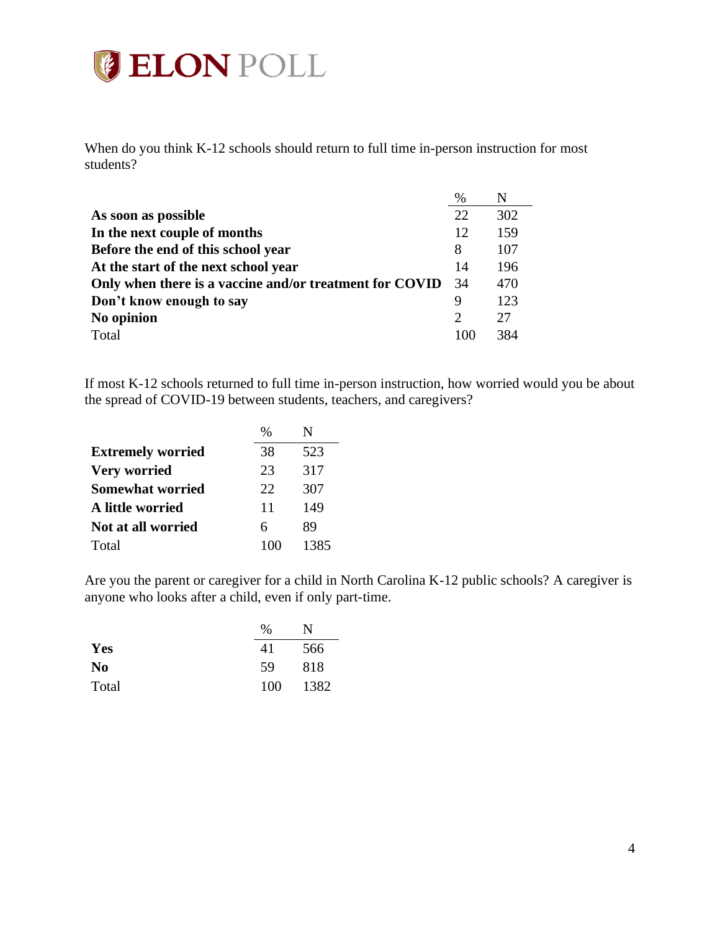

When do you think K-12 schools should return to full time in-person instruction for most students?

|                                                         | %              | N   |
|---------------------------------------------------------|----------------|-----|
| As soon as possible                                     | 22             | 302 |
| In the next couple of months                            | 12             | 159 |
| Before the end of this school year                      | 8              | 107 |
| At the start of the next school year                    | 14             | 196 |
| Only when there is a vaccine and/or treatment for COVID | -34            | 470 |
| Don't know enough to say                                | 9              | 123 |
| No opinion                                              | $\overline{2}$ | 27  |
| Total                                                   | 100            | 384 |

If most K-12 schools returned to full time in-person instruction, how worried would you be about the spread of COVID-19 between students, teachers, and caregivers?

|                          | $\%$ |      |
|--------------------------|------|------|
| <b>Extremely worried</b> | 38   | 523  |
| Very worried             | 23   | 317  |
| <b>Somewhat worried</b>  | 22   | 307  |
| A little worried         | 11   | 149  |
| Not at all worried       | 6    | 89   |
| Total                    | 100  | 1385 |

Are you the parent or caregiver for a child in North Carolina K-12 public schools? A caregiver is anyone who looks after a child, even if only part-time.

|                | $\frac{0}{0}$ | N    |
|----------------|---------------|------|
| Yes            | 41            | 566  |
| N <sub>0</sub> | 59            | 818  |
| Total          | 100           | 1382 |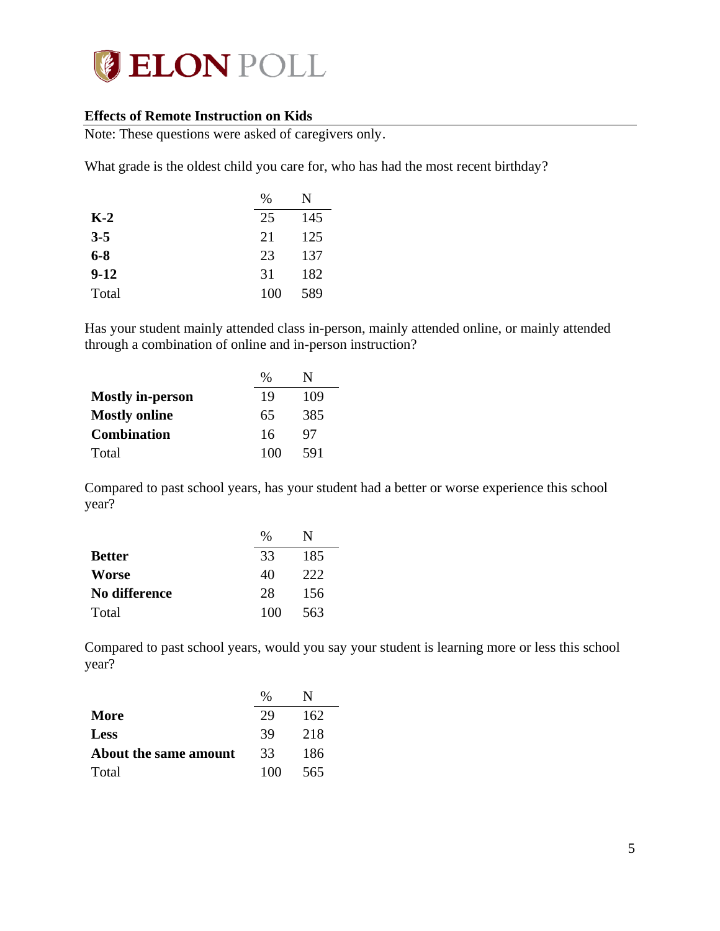

#### <span id="page-4-0"></span>**Effects of Remote Instruction on Kids**

Note: These questions were asked of caregivers only.

What grade is the oldest child you care for, who has had the most recent birthday?

|         | $\%$ | N   |
|---------|------|-----|
| $K-2$   | 25   | 145 |
| $3 - 5$ | 21   | 125 |
| $6 - 8$ | 23   | 137 |
| $9-12$  | 31   | 182 |
| Total   | 100  | 589 |

Has your student mainly attended class in-person, mainly attended online, or mainly attended through a combination of online and in-person instruction?

|                         | $\%$ | N   |
|-------------------------|------|-----|
| <b>Mostly in-person</b> | 19   | 109 |
| <b>Mostly online</b>    | 65   | 385 |
| <b>Combination</b>      | 16   | 97  |
| Total                   | 100  | 591 |

Compared to past school years, has your student had a better or worse experience this school year?

|               | $\%$ | N   |
|---------------|------|-----|
| <b>Better</b> | 33   | 185 |
| Worse         | 40   | 222 |
| No difference | 28   | 156 |
| Total         | 100  | 563 |

Compared to past school years, would you say your student is learning more or less this school year?

|                       | $\frac{0}{0}$ |     |
|-----------------------|---------------|-----|
| More                  | 29            | 162 |
| <b>Less</b>           | 39            | 218 |
| About the same amount | 33            | 186 |
| Total                 | 100           | 565 |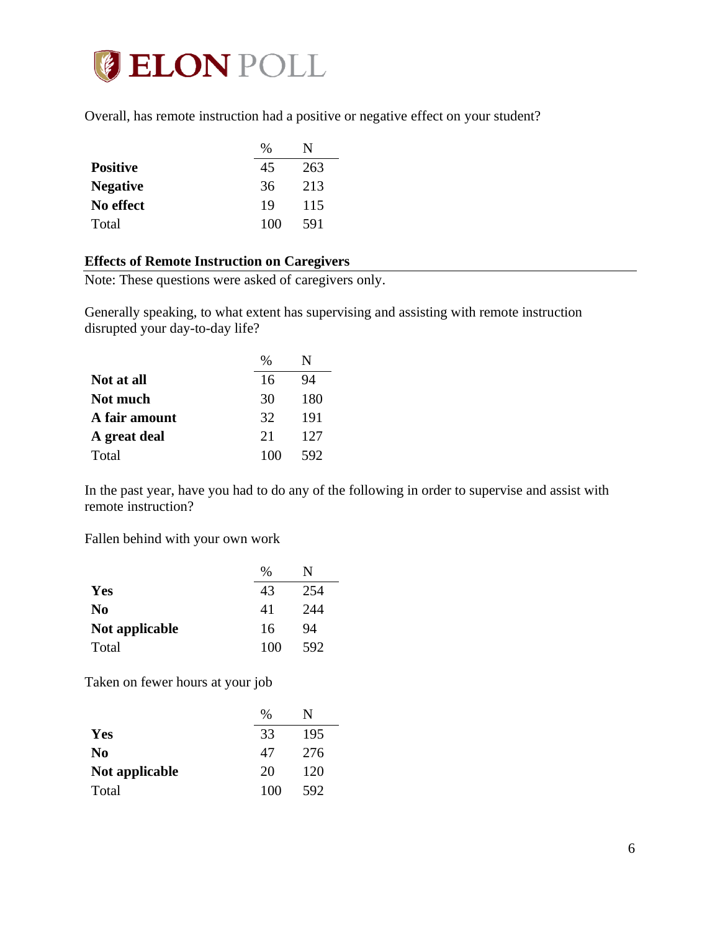

Overall, has remote instruction had a positive or negative effect on your student?

|                 | %   |     |
|-----------------|-----|-----|
| <b>Positive</b> | 45  | 263 |
| <b>Negative</b> | 36  | 213 |
| No effect       | 19  | 115 |
| Total           | 100 | 591 |

## <span id="page-5-0"></span>**Effects of Remote Instruction on Caregivers**

Note: These questions were asked of caregivers only.

Generally speaking, to what extent has supervising and assisting with remote instruction disrupted your day-to-day life?

|               | %   |     |
|---------------|-----|-----|
| Not at all    | 16  | 94  |
| Not much      | 30  | 180 |
| A fair amount | 32  | 191 |
| A great deal  | 21  | 127 |
| Total         | 100 | 592 |

In the past year, have you had to do any of the following in order to supervise and assist with remote instruction?

Fallen behind with your own work

|                | %   | N   |
|----------------|-----|-----|
| Yes            | 43  | 254 |
| N <sub>0</sub> | 41  | 244 |
| Not applicable | 16  | 94  |
| Total          | 100 | 592 |

Taken on fewer hours at your job

|                | $\frac{0}{0}$ | N   |
|----------------|---------------|-----|
| Yes            | 33            | 195 |
| N <sub>0</sub> | 47            | 276 |
| Not applicable | 20            | 120 |
| Total          | 100           | 592 |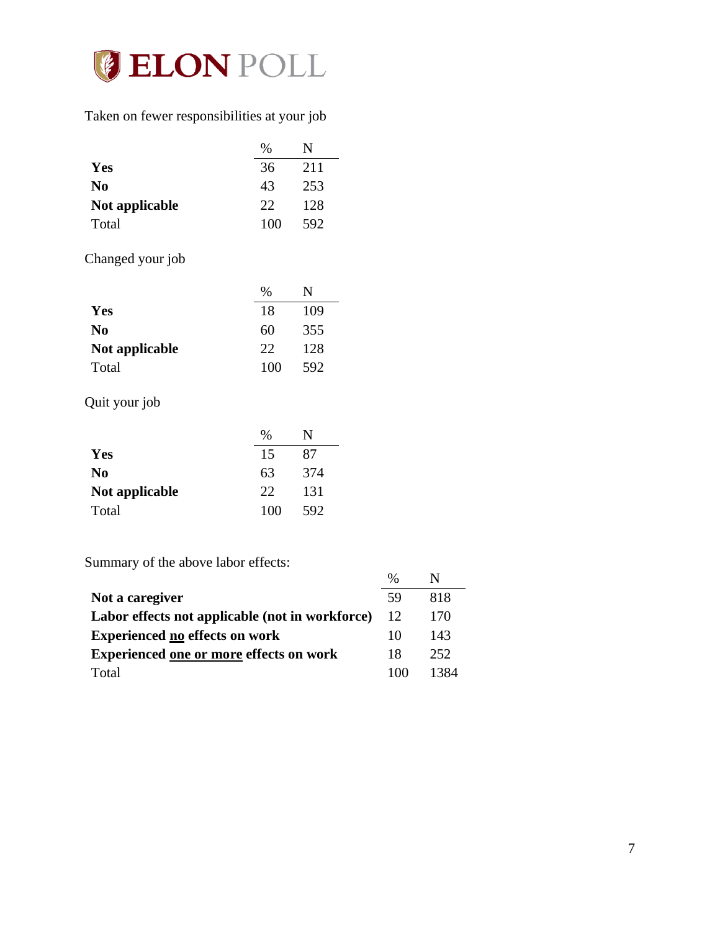

## Taken on fewer responsibilities at your job

|                | $\frac{0}{0}$ | N   |
|----------------|---------------|-----|
| Yes            | 36            | 211 |
| N <sub>0</sub> | 43            | 253 |
| Not applicable | 22            | 128 |
| Total          | 100           | 592 |

# Changed your job

|                | %   | N   |
|----------------|-----|-----|
| Yes            | 18  | 109 |
| N <sub>0</sub> | 60  | 355 |
| Not applicable | 22  | 128 |
| Total          | 100 | 592 |

# Quit your job

|                | %   | N   |
|----------------|-----|-----|
| Yes            | 15  | 87  |
| N <sub>0</sub> | 63  | 374 |
| Not applicable | 22  | 131 |
| Total          | 100 | 592 |

Summary of the above labor effects:

|                                                 | $\frac{0}{0}$ | N    |
|-------------------------------------------------|---------------|------|
| Not a caregiver                                 | 59            | 818  |
| Labor effects not applicable (not in workforce) | 12            | 170  |
| <b>Experienced no effects on work</b>           | 10            | 143  |
| <b>Experienced one or more effects on work</b>  | 18            | 252  |
| Total                                           | 100           | 1384 |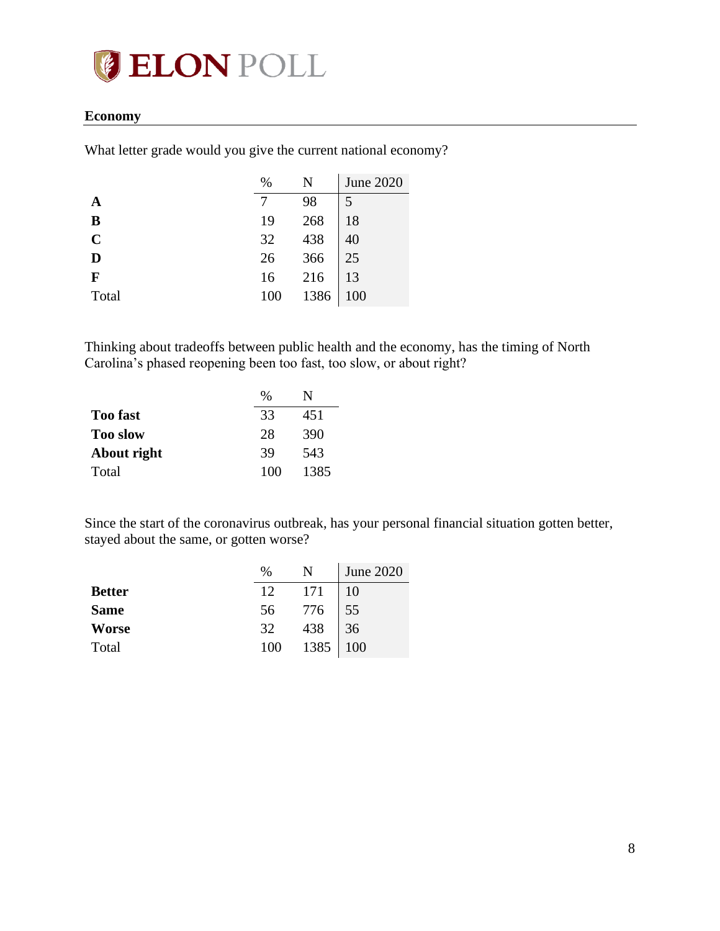

#### <span id="page-7-0"></span>**Economy**

What letter grade would you give the current national economy?

|             | %               | N                 | <b>June 2020</b> |
|-------------|-----------------|-------------------|------------------|
|             |                 | 98                | 5                |
| B           | 19              | 268               | 18               |
| $\mathbf C$ |                 |                   | 40               |
| D           | $\frac{32}{26}$ | 438<br>366<br>216 | 25               |
| F           | 16              |                   | 13               |
| Total       | 100             | 1386              | 100              |

Thinking about tradeoffs between public health and the economy, has the timing of North Carolina's phased reopening been too fast, too slow, or about right?

|                 | $\frac{0}{0}$ |      |
|-----------------|---------------|------|
| <b>Too fast</b> | 33            | 451  |
| <b>Too slow</b> | 28            | 390  |
| About right     | 39            | 543  |
| Total           | 100           | 1385 |

Since the start of the coronavirus outbreak, has your personal financial situation gotten better, stayed about the same, or gotten worse?

|               | $\%$ | N.       | June 2020 |
|---------------|------|----------|-----------|
| <b>Better</b> | 12   | 171      | 10        |
| <b>Same</b>   | 56   | 776      | 55        |
| <b>Worse</b>  | 32   | 438      | 36        |
| Total         | 100  | 1385 100 |           |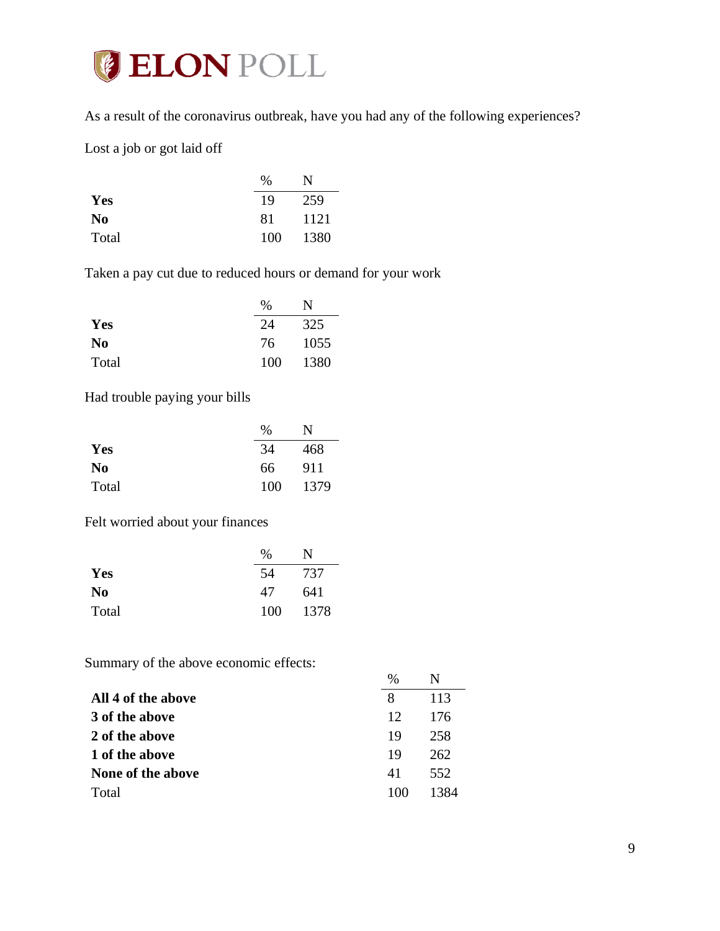

As a result of the coronavirus outbreak, have you had any of the following experiences?

Lost a job or got laid off

|                | $\%$ | N    |
|----------------|------|------|
| Yes            | 19   | 259  |
| N <sub>0</sub> | 81   | 1121 |
| Total          | 100  | 1380 |

Taken a pay cut due to reduced hours or demand for your work

|                | $\frac{0}{0}$ | N    |
|----------------|---------------|------|
| Yes            | 24            | 325  |
| N <sub>0</sub> | 76            | 1055 |
| Total          | 100           | 1380 |

Had trouble paying your bills

|                | $\%$ | N    |
|----------------|------|------|
| Yes            | 34   | 468  |
| N <sub>0</sub> | 66   | 911  |
| Total          | 100  | 1379 |

Felt worried about your finances

|                | $\%$ | N    |
|----------------|------|------|
| Yes            | 54   | 737  |
| N <sub>0</sub> | 47   | 641  |
| Total          | 100  | 1378 |

Summary of the above economic effects:

|                    | $\%$ | N    |
|--------------------|------|------|
| All 4 of the above | 8    | 113  |
| 3 of the above     | 12   | 176  |
| 2 of the above     | 19   | 258  |
| 1 of the above     | 19   | 262  |
| None of the above  | 41   | 552  |
| Total              | 100  | 1384 |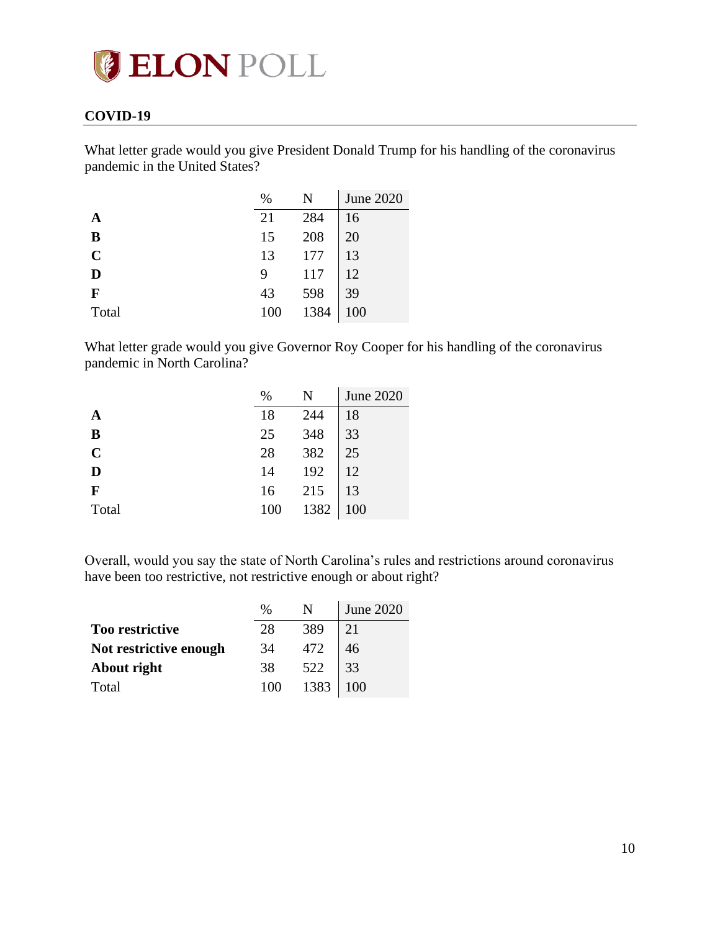# **ELON POLL**

## <span id="page-9-0"></span>**COVID-19**

What letter grade would you give President Donald Trump for his handling of the coronavirus pandemic in the United States?

|                | $\%$ | N    | <b>June 2020</b> |
|----------------|------|------|------------------|
|                | 21   | 284  | 16               |
| B              | 15   | 208  | 20               |
| $\overline{C}$ | 13   | 177  | 13               |
| D              | 9    | 117  | 12               |
| F              | 43   | 598  | 39               |
| Total          |      | 1384 | 100              |

What letter grade would you give Governor Roy Cooper for his handling of the coronavirus pandemic in North Carolina?

|                | $\%$ |                   | <b>June 2020</b> |
|----------------|------|-------------------|------------------|
|                | 18   | 244               | 18               |
| B              | 25   |                   | 33               |
| $\overline{C}$ | 28   |                   | 25               |
| D              | 14   | 348<br>382<br>192 | 12               |
| $\mathbf{F}$   | 16   | 215               | 13               |
| Total          | 100  | 1382              | 100              |

Overall, would you say the state of North Carolina's rules and restrictions around coronavirus have been too restrictive, not restrictive enough or about right?

|                        | %   |                                                                                                    | June 2020 |
|------------------------|-----|----------------------------------------------------------------------------------------------------|-----------|
| Too restrictive        | 28  | $\begin{array}{ c c } \hline 389 & 21 \\ 472 & 46 \\ 522 & 33 \\ 1383 & 100 \\ \hline \end{array}$ |           |
| Not restrictive enough | 34  |                                                                                                    |           |
| About right            | 38  |                                                                                                    |           |
| Total                  | 100 |                                                                                                    |           |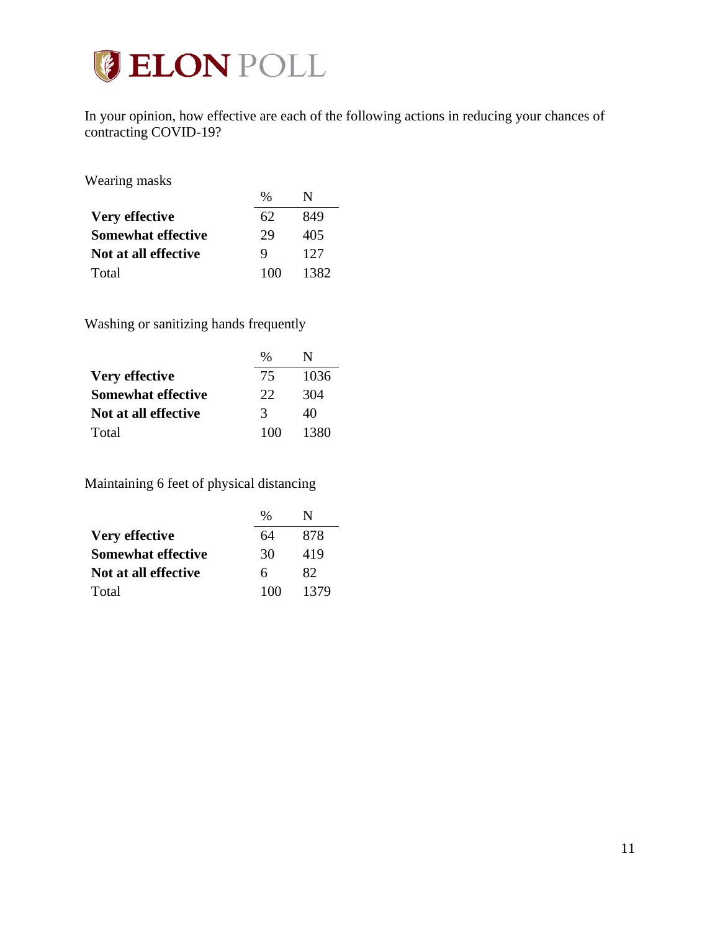

In your opinion, how effective are each of the following actions in reducing your chances of contracting COVID-19?

Wearing masks

| $\cdots$ carried through  |               |      |
|---------------------------|---------------|------|
|                           | $\frac{0}{0}$ | N    |
| Very effective            | 62            | 849  |
| <b>Somewhat effective</b> | 29            | 405  |
| Not at all effective      | 9             | 127  |
| Total                     | 100           | 1382 |

Washing or sanitizing hands frequently

|                           | $\%$ | N    |
|---------------------------|------|------|
| <b>Very effective</b>     | 75   | 1036 |
| <b>Somewhat effective</b> | 22   | 304  |
| Not at all effective      | 3    | 40   |
| Total                     | 100  | 1380 |

Maintaining 6 feet of physical distancing

|                           | %   |      |
|---------------------------|-----|------|
| Very effective            | 64  | 878  |
| <b>Somewhat effective</b> | 30  | 419  |
| Not at all effective      | 6   | 82.  |
| Total                     | 100 | 1379 |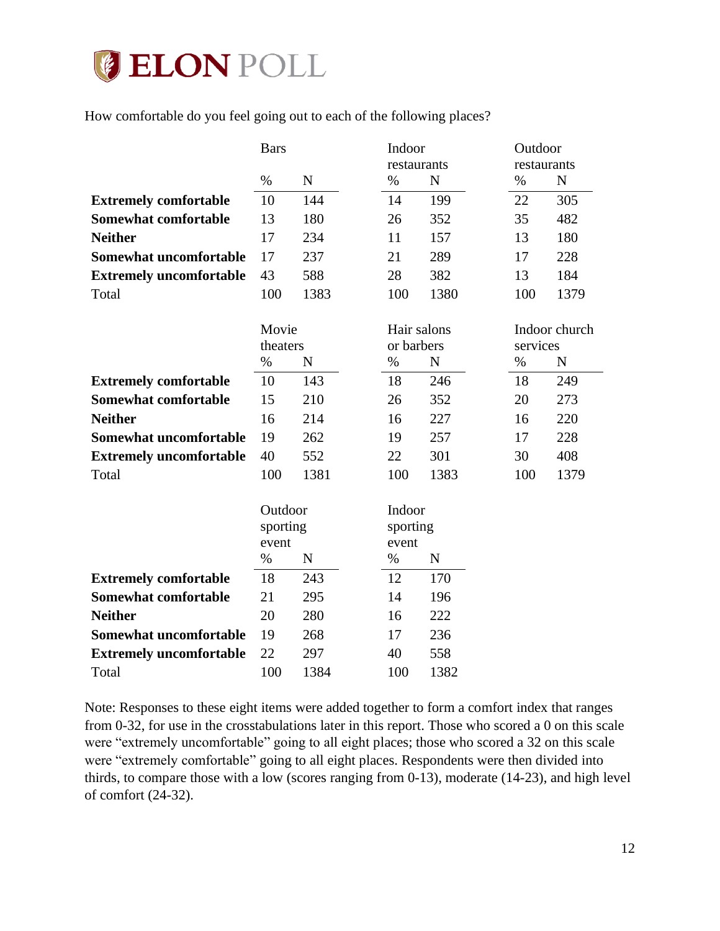# **ELON POLL**

How comfortable do you feel going out to each of the following places?

|                                | <b>Bars</b>                  | Outdoor<br>Indoor |                             |             |      |                           |
|--------------------------------|------------------------------|-------------------|-----------------------------|-------------|------|---------------------------|
|                                |                              |                   | restaurants                 |             |      | restaurants               |
|                                | $\%$                         | ${\bf N}$         | $\%$                        | $\mathbf N$ | $\%$ | ${\bf N}$                 |
| <b>Extremely comfortable</b>   | 10                           | 144               | 14                          | 199         | 22   | 305                       |
| <b>Somewhat comfortable</b>    | 13                           | 180               | 26                          | 352         | 35   | 482                       |
| <b>Neither</b>                 | 17                           | 234               | 11                          | 157         | 13   | 180                       |
| Somewhat uncomfortable         | 17                           | 237               | 21                          | 289         | 17   | 228                       |
| <b>Extremely uncomfortable</b> | 43                           | 588               | 28                          | 382         | 13   | 184                       |
| Total                          | 100                          | 1383              | 100                         | 1380        | 100  | 1379                      |
|                                | Movie<br>theaters            |                   | Hair salons<br>or barbers   |             |      | Indoor church<br>services |
|                                | $\%$                         | N                 | %                           | $\mathbf N$ | $\%$ | $\mathbf N$               |
| <b>Extremely comfortable</b>   | 10                           | 143               | 18                          | 246         | 18   | 249                       |
| <b>Somewhat comfortable</b>    | 15                           | 210               | 26                          | 352         | 20   | 273                       |
| <b>Neither</b>                 | 16                           | 214               | 16                          | 227         | 16   | 220                       |
| Somewhat uncomfortable         | 19                           | 262               | 19                          | 257         | 17   | 228                       |
| <b>Extremely uncomfortable</b> | 40                           | 552               | 22                          | 301         | 30   | 408                       |
| Total                          | 100                          | 1381              | 100                         | 1383        | 100  | 1379                      |
|                                | Outdoor<br>sporting<br>event |                   | Indoor<br>sporting<br>event |             |      |                           |
|                                | $\%$                         | $\mathbf N$       | $\%$                        | N           |      |                           |
| <b>Extremely comfortable</b>   | 18                           | 243               | 12                          | 170         |      |                           |
| Somewhat comfortable           | 21                           | 295               | 14                          | 196         |      |                           |
| <b>Neither</b>                 | 20                           | 280               | 16                          | 222         |      |                           |
| Somewhat uncomfortable         | 19                           | 268               | 17                          | 236         |      |                           |
| <b>Extremely uncomfortable</b> | 22                           | 297               | 40                          | 558         |      |                           |
| Total                          | 100                          | 1384              | 100                         | 1382        |      |                           |

Note: Responses to these eight items were added together to form a comfort index that ranges from 0-32, for use in the crosstabulations later in this report. Those who scored a 0 on this scale were "extremely uncomfortable" going to all eight places; those who scored a 32 on this scale were "extremely comfortable" going to all eight places. Respondents were then divided into thirds, to compare those with a low (scores ranging from 0-13), moderate (14-23), and high level of comfort (24-32).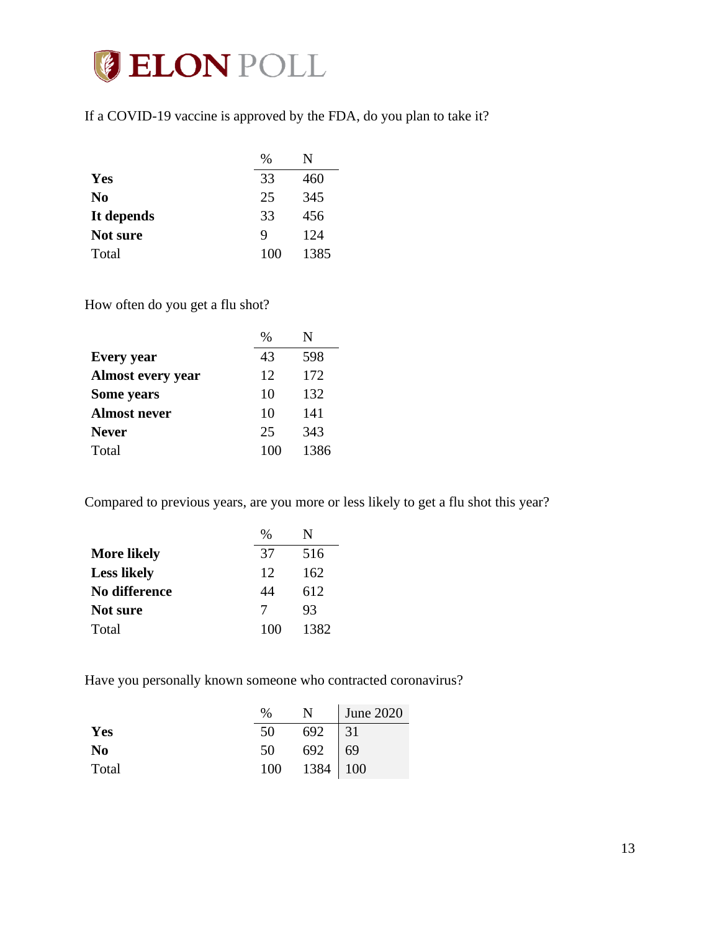

If a COVID-19 vaccine is approved by the FDA, do you plan to take it?

|                | $\%$ | N    |
|----------------|------|------|
| Yes            | 33   | 460  |
| N <sub>0</sub> | 25   | 345  |
| It depends     | 33   | 456  |
| Not sure       | 9    | 124  |
| Total          | 100  | 1385 |

How often do you get a flu shot?

|                          | $\frac{0}{0}$ | N    |
|--------------------------|---------------|------|
| <b>Every</b> year        | 43            | 598  |
| <b>Almost every year</b> | 12            | 172  |
| Some years               | 10            | 132  |
| <b>Almost never</b>      | 10            | 141  |
| <b>Never</b>             | 25            | 343  |
| Total                    | 100           | 1386 |

Compared to previous years, are you more or less likely to get a flu shot this year?

|                    | $\frac{0}{0}$ | N    |
|--------------------|---------------|------|
| <b>More likely</b> | 37            | 516  |
| <b>Less likely</b> | 12            | 162  |
| No difference      | 44            | 612  |
| Not sure           | 7             | 93   |
| Total              | 100           | 1382 |

Have you personally known someone who contracted coronavirus?

|                | $\%$                                                                                  | N June 2020 |
|----------------|---------------------------------------------------------------------------------------|-------------|
| Yes            |                                                                                       |             |
| N <sub>0</sub> |                                                                                       |             |
| Total          | $\begin{array}{c c}\n50 & 692 & 31 \\ 50 & 692 & 69 \\ 100 & 1384 & 100\n\end{array}$ |             |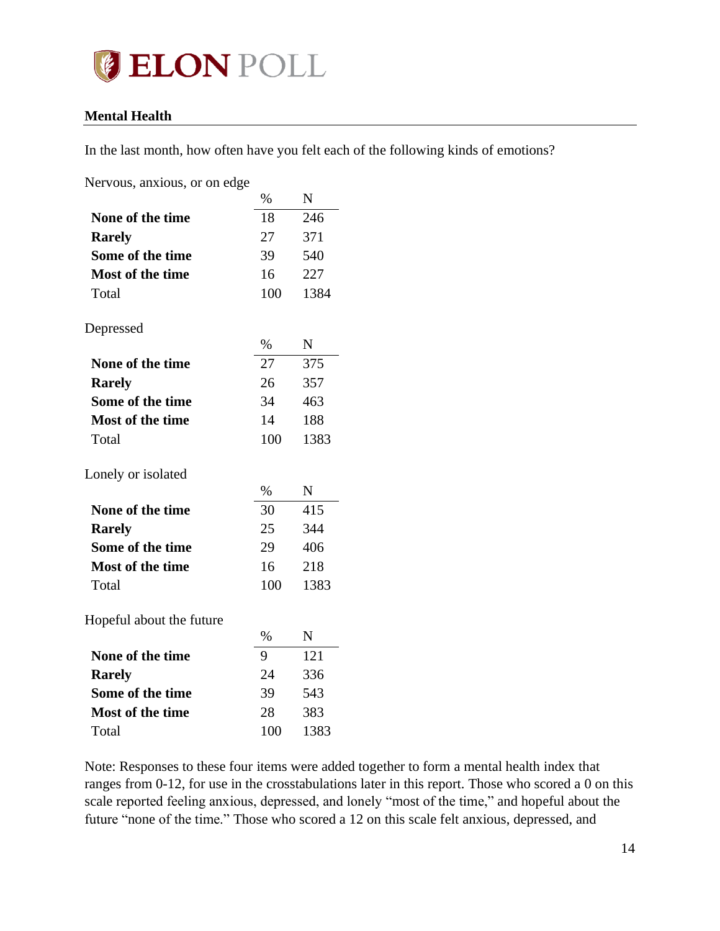

### <span id="page-13-0"></span>**Mental Health**

In the last month, how often have you felt each of the following kinds of emotions?

Nervous, anxious, or on edge

|                          | $\%$ | N           |
|--------------------------|------|-------------|
| None of the time         | 18   | 246         |
| <b>Rarely</b>            | 27   | 371         |
| Some of the time         | 39   | 540         |
| <b>Most of the time</b>  | 16   | 227         |
| Total                    | 100  | 1384        |
| Depressed                |      |             |
|                          | $\%$ | $\mathbf N$ |
| None of the time         | 27   | 375         |
| <b>Rarely</b>            | 26   | 357         |
| Some of the time         | 34   | 463         |
| <b>Most of the time</b>  | 14   | 188         |
| Total                    | 100  | 1383        |
| Lonely or isolated       |      |             |
|                          | $\%$ | $\mathbf N$ |
| None of the time         | 30   | 415         |
| <b>Rarely</b>            | 25   | 344         |
| Some of the time         | 29   | 406         |
| <b>Most of the time</b>  | 16   | 218         |
| Total                    | 100  | 1383        |
| Hopeful about the future |      |             |
|                          | $\%$ | N           |
| None of the time         | 9    | 121         |
| <b>Rarely</b>            | 24   | 336         |
| Some of the time         | 39   | 543         |
| <b>Most of the time</b>  | 28   | 383         |
| Total                    | 100  | 1383        |

Note: Responses to these four items were added together to form a mental health index that ranges from 0-12, for use in the crosstabulations later in this report. Those who scored a 0 on this scale reported feeling anxious, depressed, and lonely "most of the time," and hopeful about the future "none of the time." Those who scored a 12 on this scale felt anxious, depressed, and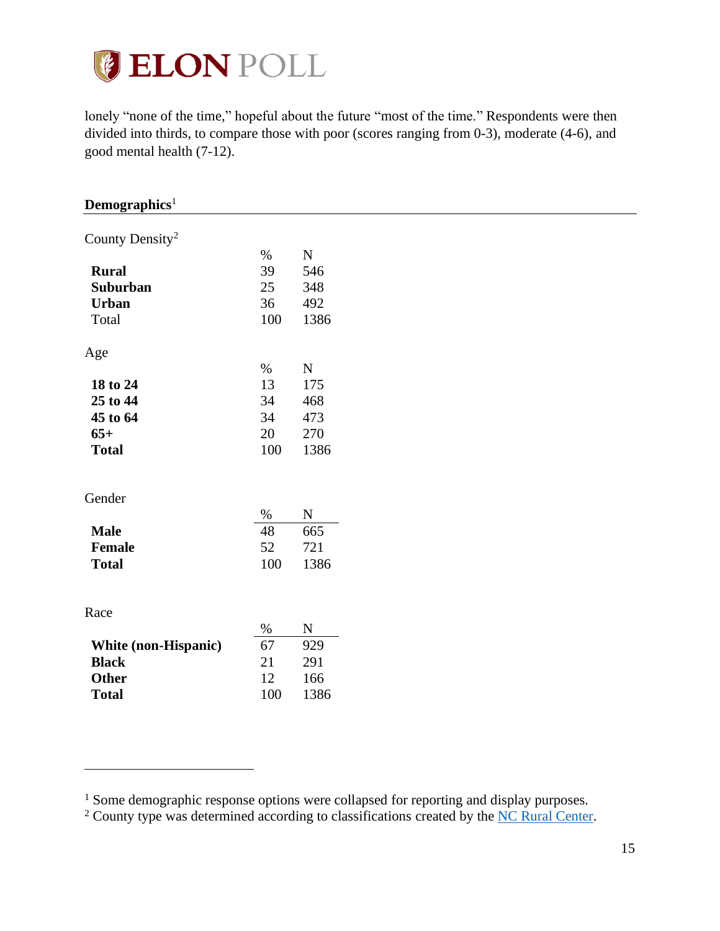

lonely "none of the time," hopeful about the future "most of the time." Respondents were then divided into thirds, to compare those with poor (scores ranging from 0-3), moderate (4-6), and good mental health (7-12).

<span id="page-14-0"></span>

| $\bf Demographics^1$        |      |             |
|-----------------------------|------|-------------|
| County Density <sup>2</sup> |      |             |
|                             |      |             |
|                             | $\%$ | ${\bf N}$   |
| <b>Rural</b>                | 39   | 546         |
| Suburban                    | 25   | 348         |
| <b>Urban</b>                | 36   | 492         |
| Total                       | 100  | 1386        |
| Age                         |      |             |
|                             | $\%$ | ${\bf N}$   |
| 18 to 24                    | 13   | 175         |
| 25 to 44                    | 34   | 468         |
| 45 to 64                    | 34   | 473         |
| $65+$                       | 20   | 270         |
| <b>Total</b>                | 100  | 1386        |
|                             |      |             |
| Gender                      |      |             |
|                             | $\%$ | $\mathbf N$ |
| <b>Male</b>                 | 48   | 665         |
| <b>Female</b>               | 52   | 721         |
| <b>Total</b>                | 100  | 1386        |
|                             |      |             |
| Race                        |      |             |
|                             | $\%$ | ${\bf N}$   |
| White (non-Hispanic)        | 67   | 929         |
| <b>Black</b>                | 21   | 291         |
| Other                       | 12   | 166         |
| <b>Total</b>                | 100  | 1386        |
|                             |      |             |

<sup>&</sup>lt;sup>1</sup> Some demographic response options were collapsed for reporting and display purposes.

<sup>&</sup>lt;sup>2</sup> County type was determined according to classifications created by the [NC Rural Center.](https://www.ncruralcenter.org/wp-content/uploads/2018/01/Rural-Map-2018-1.png)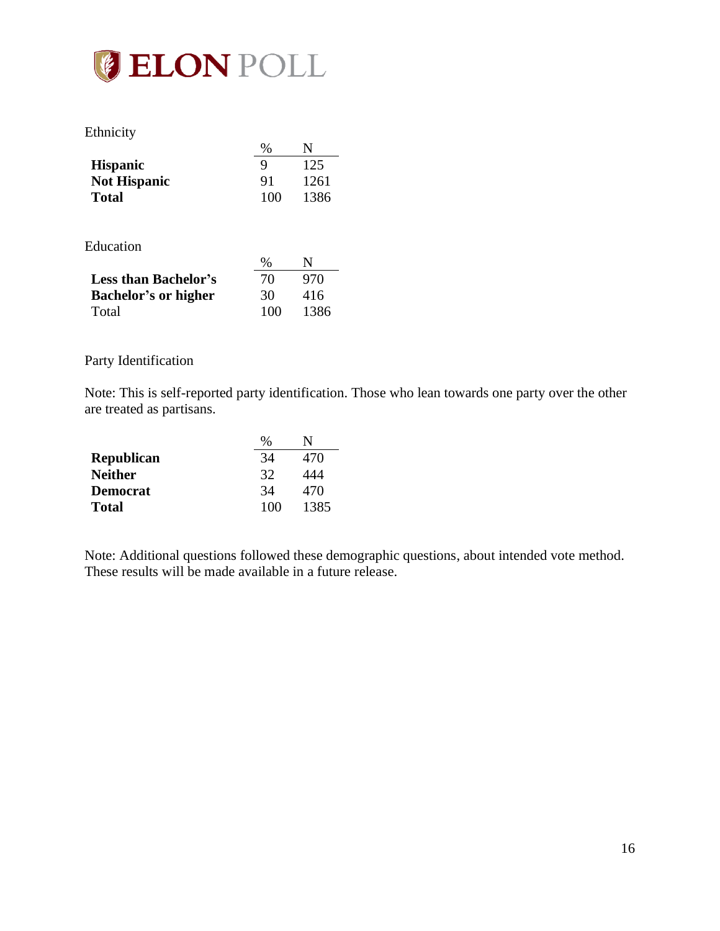

### Ethnicity

| L'UIIIIUIU          | $\%$ | N    |
|---------------------|------|------|
| <b>Hispanic</b>     | Q    | 125  |
| <b>Not Hispanic</b> | 91   | 1261 |
| <b>Total</b>        | 100  | 1386 |

#### Education

| equeation                   |      |      |
|-----------------------------|------|------|
|                             | $\%$ | N    |
| <b>Less than Bachelor's</b> | 70   | 970  |
| <b>Bachelor's or higher</b> | 30   | 416  |
| Total                       | 100  | 1386 |

#### Party Identification

Note: This is self-reported party identification. Those who lean towards one party over the other are treated as partisans.

|                   | $\%$ |      |
|-------------------|------|------|
| <b>Republican</b> | 34   | 470  |
| <b>Neither</b>    | 32   | 444  |
| <b>Democrat</b>   | 34   | 470  |
| <b>Total</b>      | 100  | 1385 |

Note: Additional questions followed these demographic questions, about intended vote method. These results will be made available in a future release.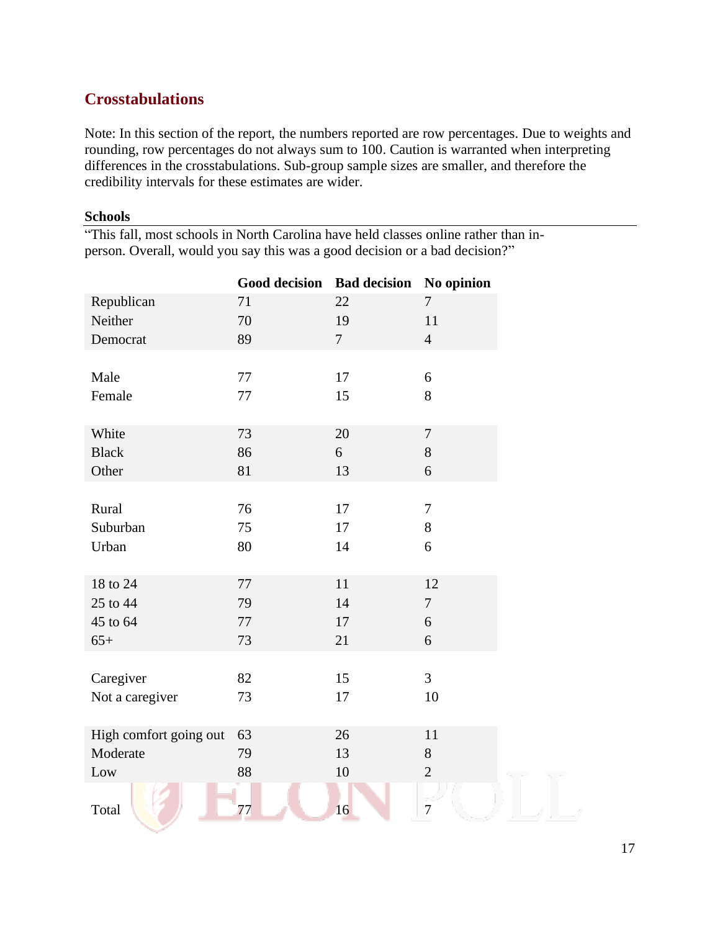# <span id="page-16-0"></span>**Crosstabulations**

Note: In this section of the report, the numbers reported are row percentages. Due to weights and rounding, row percentages do not always sum to 100. Caution is warranted when interpreting differences in the crosstabulations. Sub-group sample sizes are smaller, and therefore the credibility intervals for these estimates are wider.

### <span id="page-16-1"></span>**Schools**

|  |  |  | "This fall, most schools in North Carolina have held classes online rather than in- |  |
|--|--|--|-------------------------------------------------------------------------------------|--|
|  |  |  | person. Overall, would you say this was a good decision or a bad decision?"         |  |

|                        | <b>Good decision</b> | <b>Bad decision</b> | No opinion     |
|------------------------|----------------------|---------------------|----------------|
| Republican             | 71                   | 22                  | $\overline{7}$ |
| Neither                | 70                   | 19                  | 11             |
| Democrat               | 89                   | $\overline{7}$      | $\overline{4}$ |
|                        |                      |                     |                |
| Male                   | 77                   | 17                  | 6              |
| Female                 | 77                   | 15                  | 8              |
|                        |                      |                     |                |
| White                  | 73                   | 20                  | $\overline{7}$ |
| <b>Black</b>           | 86                   | 6                   | 8              |
| Other                  | 81                   | 13                  | 6              |
|                        |                      |                     |                |
| Rural                  | 76                   | 17                  | $\tau$         |
| Suburban               | 75                   | 17                  | $8\,$          |
| Urban                  | 80                   | 14                  | 6              |
|                        |                      |                     |                |
| 18 to 24               | 77                   | 11                  | 12             |
| 25 to 44               | 79                   | 14                  | $\overline{7}$ |
| 45 to 64               | 77                   | 17                  | 6              |
| $65+$                  | 73                   | 21                  | 6              |
|                        |                      |                     |                |
| Caregiver              | 82                   | 15                  | $\overline{3}$ |
| Not a caregiver        | 73                   | 17                  | 10             |
|                        |                      |                     |                |
| High comfort going out | 63                   | 26                  | 11             |
| Moderate               | 79                   | 13                  | $8\,$          |
| Low                    | 88                   | 10                  | $\overline{2}$ |
|                        |                      |                     |                |
| Total                  | 77                   | 16                  | $\overline{7}$ |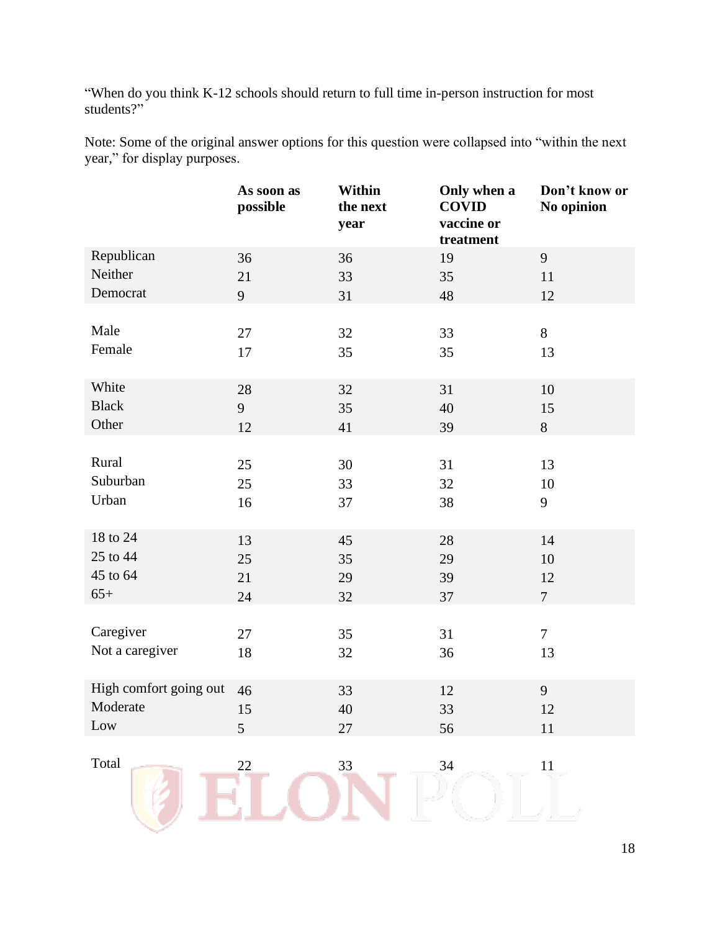"When do you think K-12 schools should return to full time in-person instruction for most students?"

Note: Some of the original answer options for this question were collapsed into "within the next year," for display purposes.

|                        | As soon as<br>possible | Within<br>the next<br>year | Only when a<br><b>COVID</b><br>vaccine or<br>treatment | Don't know or<br>No opinion |
|------------------------|------------------------|----------------------------|--------------------------------------------------------|-----------------------------|
| Republican             | 36                     | 36                         | 19                                                     | 9                           |
| Neither                | 21                     | 33                         | 35                                                     | 11                          |
| Democrat               | 9                      | 31                         | 48                                                     | 12                          |
| Male                   | $27\,$                 | 32                         | 33                                                     | 8                           |
| Female                 | 17                     |                            |                                                        |                             |
|                        |                        | 35                         | 35                                                     | 13                          |
| White                  | 28                     | 32                         | 31                                                     | 10                          |
| <b>Black</b>           | 9                      | 35                         | 40                                                     | 15                          |
| Other                  | 12                     | 41                         | 39                                                     | $8\,$                       |
|                        |                        |                            |                                                        |                             |
| Rural                  | 25                     | 30                         | 31                                                     | 13                          |
| Suburban               | 25                     | 33                         | 32                                                     | 10                          |
| Urban                  | 16                     | 37                         | 38                                                     | 9                           |
| 18 to 24               | 13                     | 45                         | 28                                                     | 14                          |
| 25 to 44               | 25                     | 35                         | 29                                                     | 10                          |
| 45 to 64               | 21                     | 29                         | 39                                                     | 12                          |
| $65+$                  | 24                     | 32                         | 37                                                     | $\tau$                      |
|                        |                        |                            |                                                        |                             |
| Caregiver              | 27                     | 35                         | 31                                                     | $\tau$                      |
| Not a caregiver        | 18                     | 32                         | 36                                                     | 13                          |
| High comfort going out | 46                     | 33                         | 12                                                     | 9                           |
| Moderate               | 15                     | $40\,$                     | 33                                                     | $12\,$                      |
| Low                    | 5                      | $27\,$                     | 56                                                     | $11\,$                      |
|                        |                        |                            |                                                        |                             |
| Total                  | 22                     | 33                         | 34                                                     | 11                          |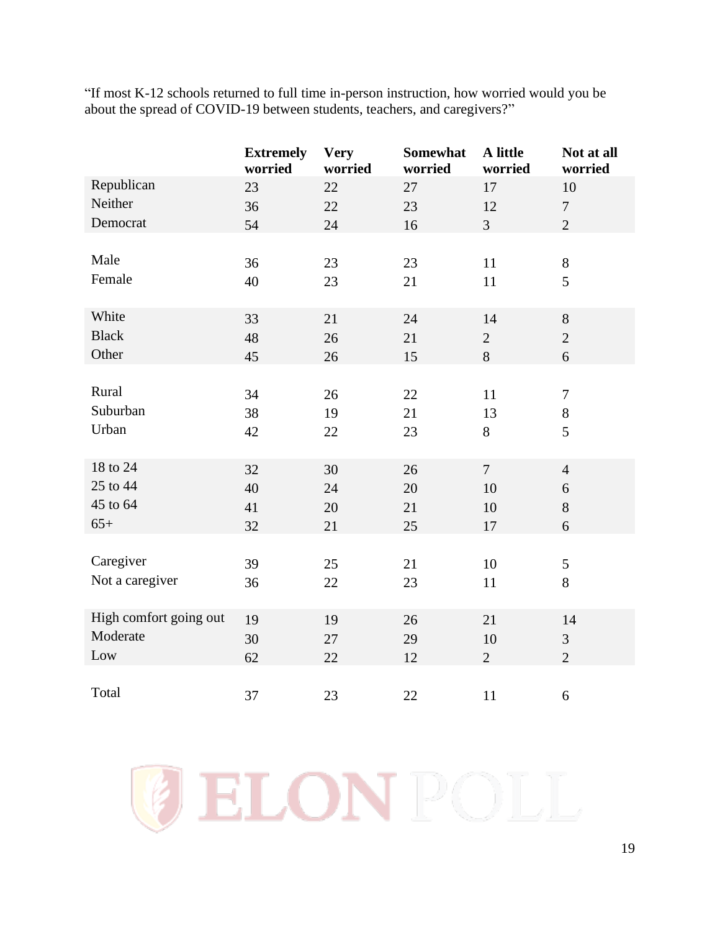"If most K-12 schools returned to full time in-person instruction, how worried would you be about the spread of COVID-19 between students, teachers, and caregivers?"

|                        | <b>Extremely</b><br>worried | <b>Very</b><br>worried | Somewhat<br>worried | A little<br>worried | Not at all<br>worried |
|------------------------|-----------------------------|------------------------|---------------------|---------------------|-----------------------|
| Republican             | 23                          | 22                     | 27                  | 17                  | 10                    |
| Neither                | 36                          | 22                     | 23                  | 12                  | $\tau$                |
| Democrat               | 54                          | 24                     | 16                  | $\overline{3}$      | $\overline{2}$        |
|                        |                             |                        |                     |                     |                       |
| Male                   | 36                          | 23                     | 23                  | 11                  | $8\,$                 |
| Female                 | 40                          | 23                     | 21                  | 11                  | 5                     |
|                        |                             |                        |                     |                     |                       |
| White                  | 33                          | 21                     | 24                  | 14                  | 8                     |
| <b>Black</b>           | 48                          | 26                     | 21                  | $\overline{2}$      | $\overline{2}$        |
| Other                  | 45                          | 26                     | 15                  | 8                   | 6                     |
|                        |                             |                        |                     |                     |                       |
| Rural                  | 34                          | 26                     | 22                  | 11                  | $\tau$                |
| Suburban               | 38                          | 19                     | 21                  | 13                  | $8\,$                 |
| Urban                  | 42                          | 22                     | 23                  | 8                   | 5                     |
|                        |                             |                        |                     |                     |                       |
| 18 to 24               | 32                          | 30                     | 26                  | $\overline{7}$      | $\overline{4}$        |
| 25 to 44               | 40                          | 24                     | 20                  | 10                  | 6                     |
| 45 to 64               | 41                          | 20                     | 21                  | 10                  | 8                     |
| $65+$                  | 32                          | 21                     | 25                  | 17                  | 6                     |
|                        |                             |                        |                     |                     |                       |
| Caregiver              | 39                          | 25                     | 21                  | 10                  | $\mathfrak{S}$        |
| Not a caregiver        | 36                          | 22                     | 23                  | 11                  | 8                     |
|                        |                             |                        |                     |                     |                       |
| High comfort going out | 19                          | 19                     | 26                  | 21                  | 14                    |
| Moderate               | 30                          | 27                     | 29                  | 10                  | 3                     |
| Low                    | 62                          | 22                     | 12                  | $\overline{2}$      | $\overline{2}$        |
|                        |                             |                        |                     |                     |                       |
| Total                  | 37                          | 23                     | 22                  | 11                  | 6                     |

GELONPOLL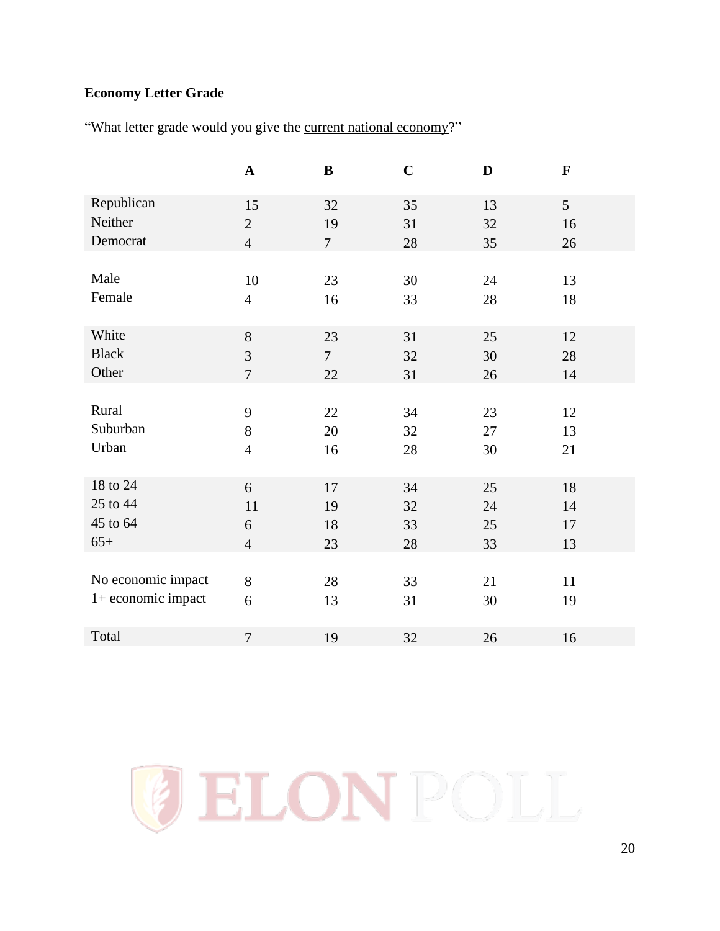## <span id="page-19-0"></span>**Economy Letter Grade**

"What letter grade would you give the current national economy?"

|                    | $\mathbf A$    | $\bf{B}$       | $\mathbf C$ | D  | $\mathbf F$     |
|--------------------|----------------|----------------|-------------|----|-----------------|
| Republican         | 15             | 32             | 35          | 13 | $5\overline{)}$ |
| Neither            | $\mathbf{2}$   | 19             | 31          | 32 | 16              |
| Democrat           | $\overline{4}$ | $\overline{7}$ | 28          | 35 | 26              |
|                    |                |                |             |    |                 |
| Male               | 10             | 23             | 30          | 24 | 13              |
| Female             | $\overline{4}$ | 16             | 33          | 28 | 18              |
|                    |                |                |             |    |                 |
| White              | 8              | 23             | 31          | 25 | 12              |
| <b>Black</b>       | 3              | $\overline{7}$ | 32          | 30 | 28              |
| Other              | $\overline{7}$ | 22             | 31          | 26 | 14              |
|                    |                |                |             |    |                 |
| Rural              | 9              | 22             | 34          | 23 | 12              |
| Suburban           | 8              | 20             | 32          | 27 | 13              |
| Urban              | $\overline{4}$ | 16             | 28          | 30 | 21              |
|                    |                |                |             |    |                 |
| 18 to 24           | 6              | 17             | 34          | 25 | 18              |
| 25 to 44           | 11             | 19             | 32          | 24 | 14              |
| 45 to 64           | 6              | 18             | 33          | 25 | 17              |
| $65+$              | $\overline{4}$ | 23             | 28          | 33 | 13              |
|                    |                |                |             |    |                 |
| No economic impact | 8              | 28             | 33          | 21 | 11              |
| 1+ economic impact | 6              | 13             | 31          | 30 | 19              |
|                    |                |                |             |    |                 |
| Total              | $\overline{7}$ | 19             | 32          | 26 | 16              |

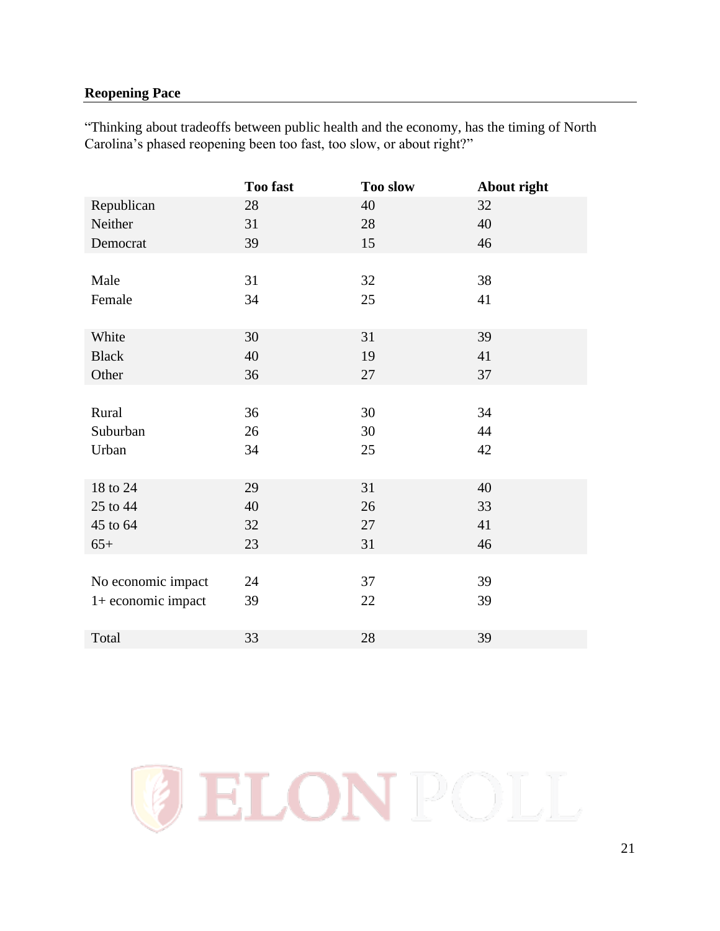## <span id="page-20-0"></span>**Reopening Pace**

"Thinking about tradeoffs between public health and the economy, has the timing of North Carolina's phased reopening been too fast, too slow, or about right?"

|                    | Too fast | <b>Too slow</b> | About right |
|--------------------|----------|-----------------|-------------|
| Republican         | 28       | 40              | 32          |
| Neither            | 31       | 28              | 40          |
| Democrat           | 39       | 15              | 46          |
|                    |          |                 |             |
| Male               | 31       | 32              | 38          |
| Female             | 34       | 25              | 41          |
|                    |          |                 |             |
| White              | 30       | 31              | 39          |
| <b>Black</b>       | 40       | 19              | 41          |
| Other              | 36       | 27              | 37          |
|                    |          |                 |             |
| Rural              | 36       | 30              | 34          |
| Suburban           | 26       | 30              | 44          |
| Urban              | 34       | 25              | 42          |
|                    |          |                 |             |
| 18 to 24           | 29       | 31              | 40          |
| 25 to 44           | 40       | 26              | 33          |
| 45 to 64           | 32       | 27              | 41          |
| $65+$              | 23       | 31              | 46          |
|                    |          |                 |             |
| No economic impact | 24       | 37              | 39          |
| 1+ economic impact | 39       | 22              | 39          |
|                    |          |                 |             |
| Total              | 33       | 28              | 39          |

**ELONPOLI**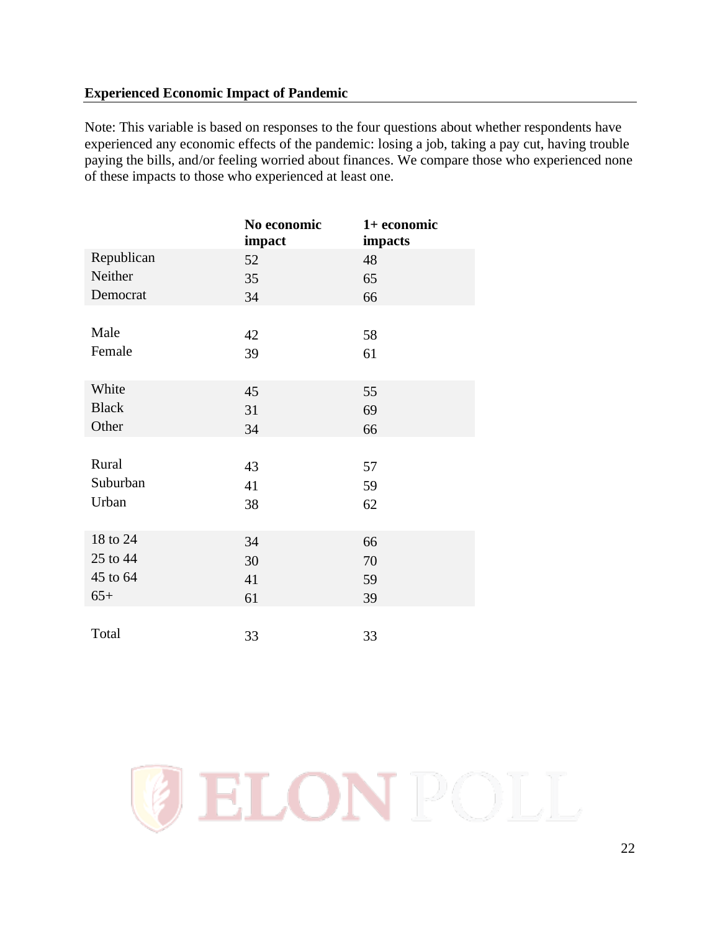## <span id="page-21-0"></span>**Experienced Economic Impact of Pandemic**

Note: This variable is based on responses to the four questions about whether respondents have experienced any economic effects of the pandemic: losing a job, taking a pay cut, having trouble paying the bills, and/or feeling worried about finances. We compare those who experienced none of these impacts to those who experienced at least one.

|              | No economic<br>impact | 1+ economic<br><i>impacts</i> |
|--------------|-----------------------|-------------------------------|
| Republican   | 52                    | 48                            |
| Neither      | 35                    | 65                            |
| Democrat     | 34                    | 66                            |
|              |                       |                               |
| Male         | 42                    | 58                            |
| Female       | 39                    | 61                            |
|              |                       |                               |
| White        | 45                    | 55                            |
| <b>Black</b> | 31                    | 69                            |
| Other        | 34                    | 66                            |
|              |                       |                               |
| Rural        | 43                    | 57                            |
| Suburban     | 41                    | 59                            |
| Urban        | 38                    | 62                            |
|              |                       |                               |
| 18 to 24     | 34                    | 66                            |
| 25 to 44     | 30                    | 70                            |
| 45 to 64     | 41                    | 59                            |
| $65+$        | 61                    | 39                            |
|              |                       |                               |
| Total        | 33                    | 33                            |

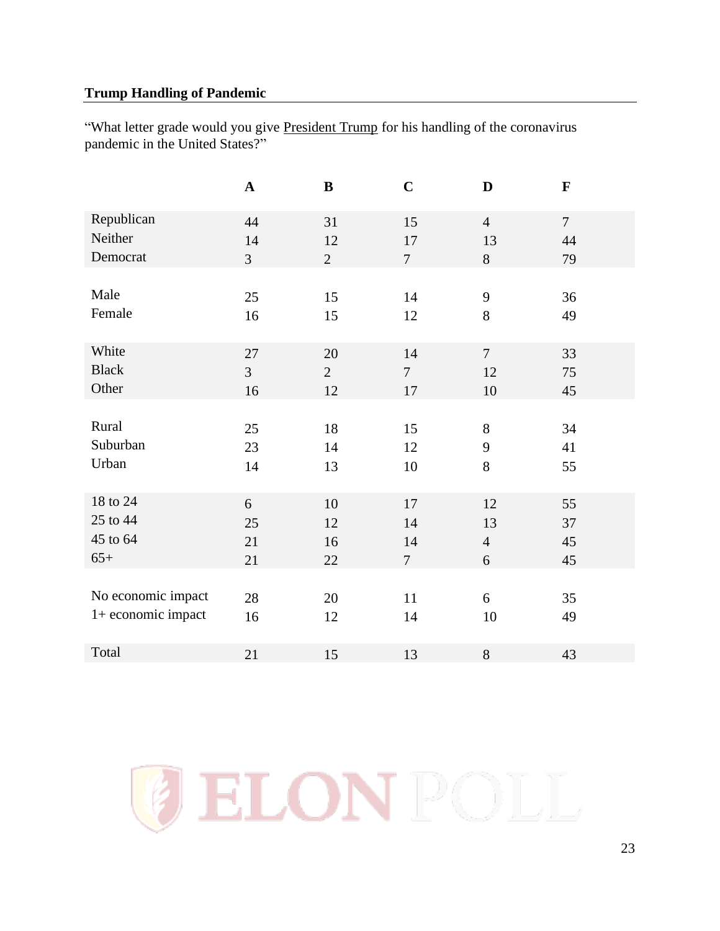## <span id="page-22-0"></span>**Trump Handling of Pandemic**

"What letter grade would you give President Trump for his handling of the coronavirus pandemic in the United States?"

|                    | $\mathbf A$    | $\bf{B}$       | $\mathbf C$    | D              | $\mathbf{F}$  |
|--------------------|----------------|----------------|----------------|----------------|---------------|
| Republican         | 44             | 31             | 15             | $\overline{4}$ | $\mathcal{I}$ |
| Neither            | 14             | 12             | 17             | 13             | 44            |
| Democrat           | $\overline{3}$ | $\overline{2}$ | $\overline{7}$ | 8              | 79            |
|                    |                |                |                |                |               |
| Male               | 25             | 15             | 14             | 9              | 36            |
| Female             | 16             | 15             | 12             | 8              | 49            |
|                    |                |                |                |                |               |
| White              | 27             | 20             | 14             | $\tau$         | 33            |
| <b>Black</b>       | $\overline{3}$ | $\overline{2}$ | $\overline{7}$ | 12             | 75            |
| Other              | 16             | 12             | 17             | 10             | 45            |
|                    |                |                |                |                |               |
| Rural              | 25             | 18             | 15             | $8\,$          | 34            |
| Suburban           | 23             | 14             | 12             | 9              | 41            |
| Urban              | 14             | 13             | 10             | 8              | 55            |
|                    |                |                |                |                |               |
| 18 to 24           | 6              | 10             | 17             | 12             | 55            |
| 25 to 44           | 25             | 12             | 14             | 13             | 37            |
| 45 to 64           | 21             | 16             | 14             | $\overline{4}$ | 45            |
| $65+$              | 21             | 22             | $\overline{7}$ | 6              | 45            |
|                    |                |                |                |                |               |
| No economic impact | 28             | 20             | 11             | 6              | 35            |
| 1+ economic impact | 16             | 12             | 14             | 10             | 49            |
|                    |                |                |                |                |               |
| Total              | 21             | 15             | 13             | $8\,$          | 43            |

**ELONPOLL**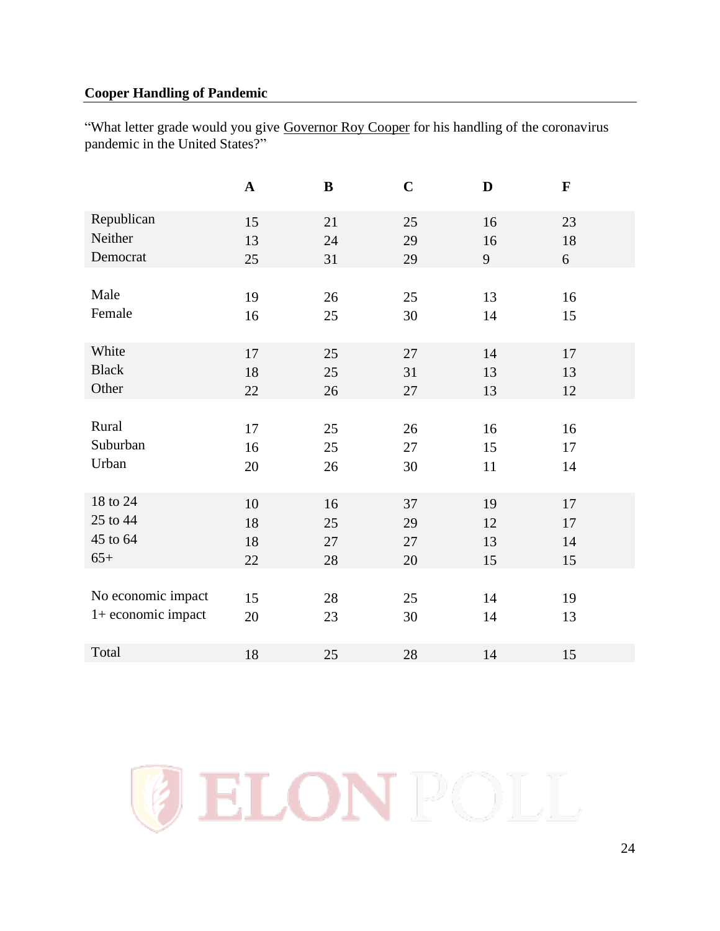## <span id="page-23-0"></span>**Cooper Handling of Pandemic**

"What letter grade would you give Governor Roy Cooper for his handling of the coronavirus pandemic in the United States?"

|                    | $\mathbf A$ | $\, {\bf B}$ | $\mathbf C$ | D  | $\mathbf F$ |
|--------------------|-------------|--------------|-------------|----|-------------|
| Republican         | 15          | 21           | 25          | 16 | 23          |
| Neither            | 13          | 24           | 29          | 16 | 18          |
| Democrat           | 25          | 31           | 29          | 9  | 6           |
|                    |             |              |             |    |             |
| Male               | 19          | 26           | 25          | 13 | 16          |
| Female             | 16          | 25           | 30          | 14 | 15          |
|                    |             |              |             |    |             |
| White              | 17          | 25           | 27          | 14 | 17          |
| <b>Black</b>       | 18          | 25           | 31          | 13 | 13          |
| Other              | 22          | 26           | 27          | 13 | 12          |
|                    |             |              |             |    |             |
| Rural              | 17          | 25           | 26          | 16 | 16          |
| Suburban           | 16          | 25           | 27          | 15 | 17          |
| Urban              | 20          | 26           | 30          | 11 | 14          |
|                    |             |              |             |    |             |
| 18 to 24           | 10          | 16           | 37          | 19 | 17          |
| 25 to 44           | 18          | 25           | 29          | 12 | 17          |
| 45 to 64           | 18          | 27           | 27          | 13 | 14          |
| $65+$              | 22          | 28           | 20          | 15 | 15          |
|                    |             |              |             |    |             |
| No economic impact | 15          | 28           | 25          | 14 | 19          |
| 1+ economic impact | 20          | 23           | 30          | 14 | 13          |
|                    |             |              |             |    |             |
| Total              | 18          | 25           | 28          | 14 | 15          |

ELON POLL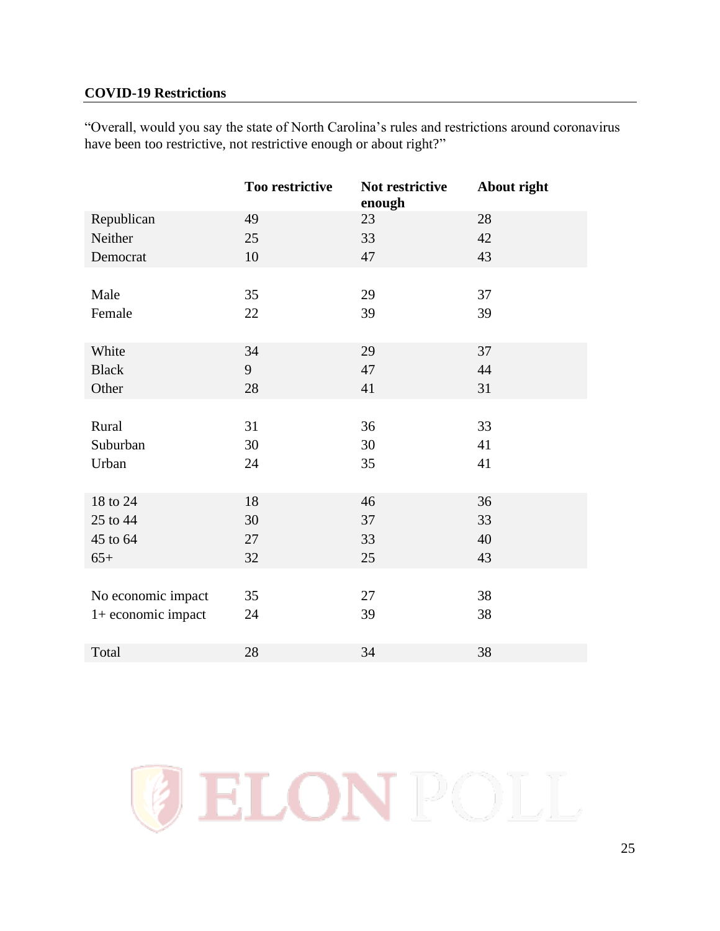#### <span id="page-24-0"></span>**COVID-19 Restrictions**

"Overall, would you say the state of North Carolina's rules and restrictions around coronavirus have been too restrictive, not restrictive enough or about right?"

|                    | Too restrictive | Not restrictive<br>enough | About right |
|--------------------|-----------------|---------------------------|-------------|
| Republican         | 49              | 23                        | 28          |
| Neither            | 25              | 33                        | 42          |
| Democrat           | 10              | 47                        | 43          |
|                    |                 |                           |             |
| Male               | 35              | 29                        | 37          |
| Female             | 22              | 39                        | 39          |
|                    |                 |                           |             |
| White              | 34              | 29                        | 37          |
| <b>Black</b>       | 9               | 47                        | 44          |
| Other              | 28              | 41                        | 31          |
|                    |                 |                           |             |
| Rural              | 31              | 36                        | 33          |
| Suburban           | 30              | 30                        | 41          |
| Urban              | 24              | 35                        | 41          |
|                    |                 |                           |             |
| 18 to 24           | 18              | 46                        | 36          |
| 25 to 44           | 30              | 37                        | 33          |
| 45 to 64           | 27              | 33                        | 40          |
| $65+$              | 32              | 25                        | 43          |
|                    |                 |                           |             |
| No economic impact | 35              | 27                        | 38          |
| 1+ economic impact | 24              | 39                        | 38          |
|                    |                 |                           |             |
| Total              | 28              | 34                        | 38          |

ELON POLI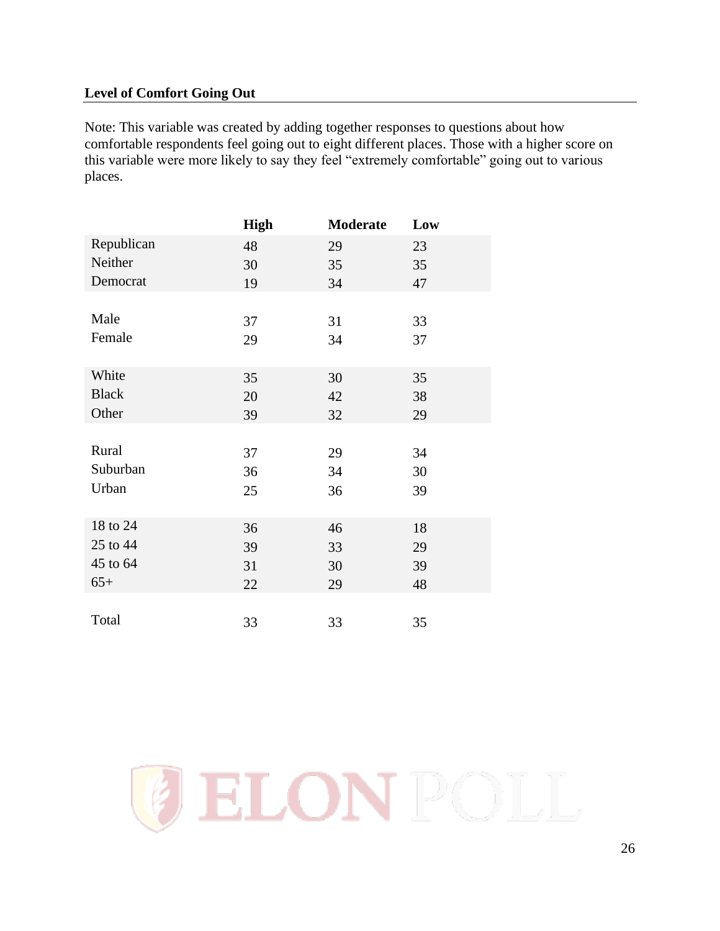## <span id="page-25-0"></span>**Level of Comfort Going Out**

Note: This variable was created by adding together responses to questions about how comfortable respondents feel going out to eight different places. Those with a higher score on this variable were more likely to say they feel "extremely comfortable" going out to various places.

|              | <b>High</b> | <b>Moderate</b> | Low |
|--------------|-------------|-----------------|-----|
| Republican   | 48          | 29              | 23  |
| Neither      | 30          | 35              | 35  |
| Democrat     | 19          | 34              | 47  |
|              |             |                 |     |
| Male         | 37          | 31              | 33  |
| Female       | 29          | 34              | 37  |
|              |             |                 |     |
| White        | 35          | 30              | 35  |
| <b>Black</b> | 20          | 42              | 38  |
| Other        | 39          | 32              | 29  |
|              |             |                 |     |
| Rural        | 37          | 29              | 34  |
| Suburban     | 36          | 34              | 30  |
| Urban        | 25          | 36              | 39  |
|              |             |                 |     |
| 18 to 24     | 36          | 46              | 18  |
| 25 to 44     | 39          | 33              | 29  |
| 45 to 64     | 31          | 30              | 39  |
| $65+$        | 22          | 29              | 48  |
|              |             |                 |     |
| Total        | 33          | 33              | 35  |

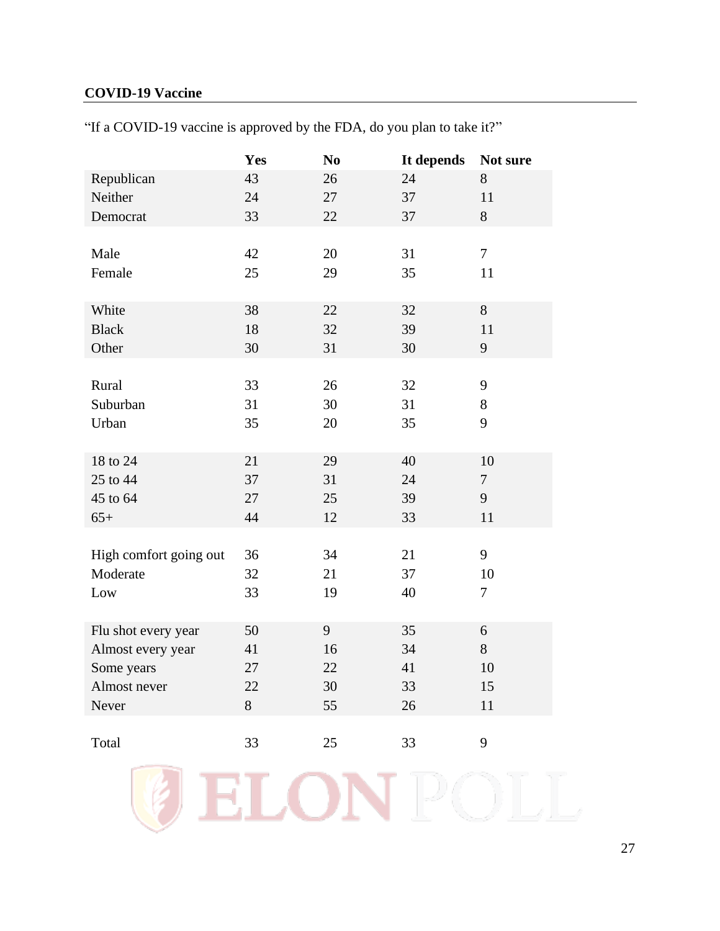## <span id="page-26-0"></span>**COVID-19 Vaccine**

|                        | Yes | N <sub>0</sub> | It depends | Not sure |
|------------------------|-----|----------------|------------|----------|
| Republican             | 43  | 26             | 24         | 8        |
| Neither                | 24  | 27             | 37         | 11       |
| Democrat               | 33  | 22             | 37         | 8        |
|                        |     |                |            |          |
| Male                   | 42  | 20             | 31         | $\tau$   |
| Female                 | 25  | 29             | 35         | 11       |
|                        |     |                |            |          |
| White                  | 38  | 22             | 32         | 8        |
| <b>Black</b>           | 18  | 32             | 39         | 11       |
| Other                  | 30  | 31             | 30         | 9        |
|                        |     |                |            |          |
| Rural                  | 33  | 26             | 32         | 9        |
| Suburban               | 31  | 30             | 31         | 8        |
| Urban                  | 35  | 20             | 35         | 9        |
|                        |     |                |            |          |
| 18 to 24               | 21  | 29             | 40         | 10       |
| 25 to 44               | 37  | 31             | 24         | $\tau$   |
| 45 to 64               | 27  | 25             | 39         | 9        |
| $65+$                  | 44  | 12             | 33         | 11       |
|                        |     |                |            |          |
| High comfort going out | 36  | 34             | 21         | 9        |
| Moderate               | 32  | 21             | 37         | 10       |
| Low                    | 33  | 19             | 40         | $\tau$   |
|                        |     |                |            |          |
| Flu shot every year    | 50  | 9              | 35         | 6        |
| Almost every year      | 41  | 16             | 34         | 8        |
| Some years             | 27  | 22             | 41         | 10       |
| Almost never           | 22  | 30             | 33         | 15       |
| Never                  | 8   | 55             | 26         | 11       |
|                        |     |                |            |          |
| Total                  | 33  | 25             | 33         | 9        |

LOI

 $\blacktriangledown$ 

"If a COVID-19 vaccine is approved by the FDA, do you plan to take it?"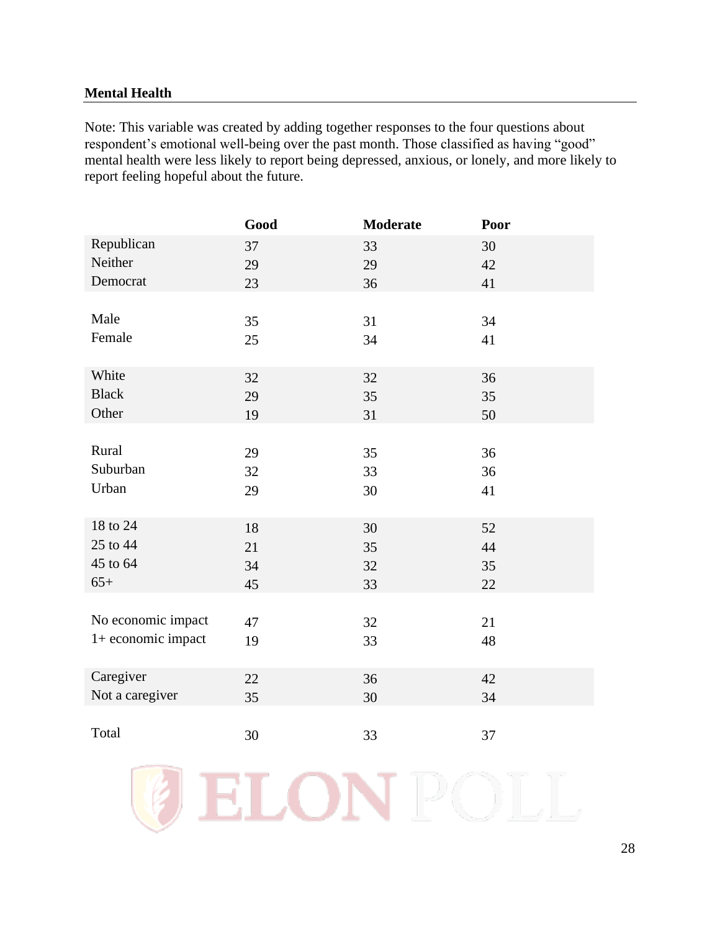## <span id="page-27-0"></span>**Mental Health**

Note: This variable was created by adding together responses to the four questions about respondent's emotional well-being over the past month. Those classified as having "good" mental health were less likely to report being depressed, anxious, or lonely, and more likely to report feeling hopeful about the future.

|                    | Good | Moderate | Poor |
|--------------------|------|----------|------|
| Republican         | 37   | 33       | 30   |
| Neither            | 29   | 29       | 42   |
| Democrat           | 23   | 36       | 41   |
|                    |      |          |      |
| Male               | 35   | 31       | 34   |
| Female             | 25   | 34       | 41   |
|                    |      |          |      |
| White              | 32   | 32       | 36   |
| <b>Black</b>       | 29   | 35       | 35   |
| Other              | 19   | 31       | 50   |
|                    |      |          |      |
| Rural              | 29   | 35       | 36   |
| Suburban           | 32   | 33       | 36   |
| Urban              | 29   | 30       | 41   |
|                    |      |          |      |
| 18 to 24           | 18   | 30       | 52   |
| 25 to 44           | 21   | 35       | 44   |
| 45 to 64           | 34   | 32       | 35   |
| $65+$              | 45   | 33       | 22   |
|                    |      |          |      |
| No economic impact | 47   | 32       | 21   |
| 1+ economic impact | 19   | 33       | 48   |
|                    |      |          |      |
| Caregiver          | 22   | 36       | 42   |
| Not a caregiver    | 35   | 30       | 34   |
|                    |      |          |      |
| Total              | 30   | 33       | 37   |

ELON

28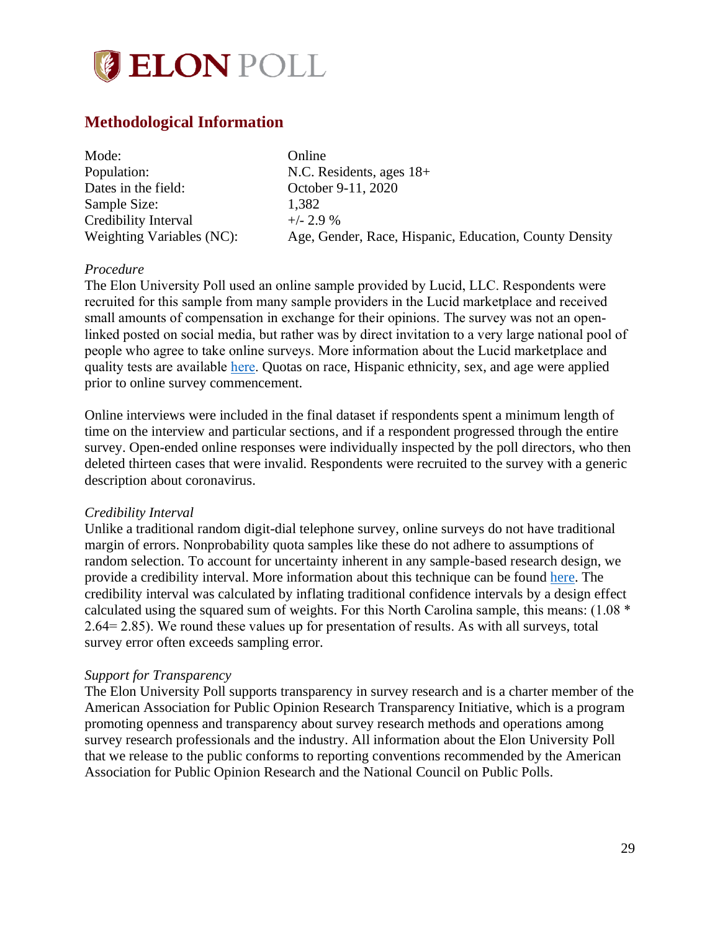

# <span id="page-28-0"></span>**Methodological Information**

| Mode:                     | Online                                                 |
|---------------------------|--------------------------------------------------------|
| Population:               | N.C. Residents, ages $18+$                             |
| Dates in the field:       | October 9-11, 2020                                     |
| Sample Size:              | 1,382                                                  |
| Credibility Interval      | $+/- 2.9%$                                             |
| Weighting Variables (NC): | Age, Gender, Race, Hispanic, Education, County Density |

#### *Procedure*

The Elon University Poll used an online sample provided by Lucid, LLC. Respondents were recruited for this sample from many sample providers in the Lucid marketplace and received small amounts of compensation in exchange for their opinions. The survey was not an openlinked posted on social media, but rather was by direct invitation to a very large national pool of people who agree to take online surveys. More information about the Lucid marketplace and quality tests are available [here.](https://luc.id/quality/) Quotas on race, Hispanic ethnicity, sex, and age were applied prior to online survey commencement.

Online interviews were included in the final dataset if respondents spent a minimum length of time on the interview and particular sections, and if a respondent progressed through the entire survey. Open-ended online responses were individually inspected by the poll directors, who then deleted thirteen cases that were invalid. Respondents were recruited to the survey with a generic description about coronavirus.

#### *Credibility Interval*

Unlike a traditional random digit-dial telephone survey, online surveys do not have traditional margin of errors. Nonprobability quota samples like these do not adhere to assumptions of random selection. To account for uncertainty inherent in any sample-based research design, we provide a credibility interval. More information about this technique can be found [here.](https://www.aapor.org/Education-Resources/Election-Polling-Resources/Margin-of-Sampling-Error-Credibility-Interval.aspx) The credibility interval was calculated by inflating traditional confidence intervals by a design effect calculated using the squared sum of weights. For this North Carolina sample, this means: (1.08 \* 2.64= 2.85). We round these values up for presentation of results. As with all surveys, total survey error often exceeds sampling error.

#### *Support for Transparency*

The Elon University Poll supports transparency in survey research and is a charter member of the American Association for Public Opinion Research Transparency Initiative, which is a program promoting openness and transparency about survey research methods and operations among survey research professionals and the industry. All information about the Elon University Poll that we release to the public conforms to reporting conventions recommended by the American Association for Public Opinion Research and the National Council on Public Polls.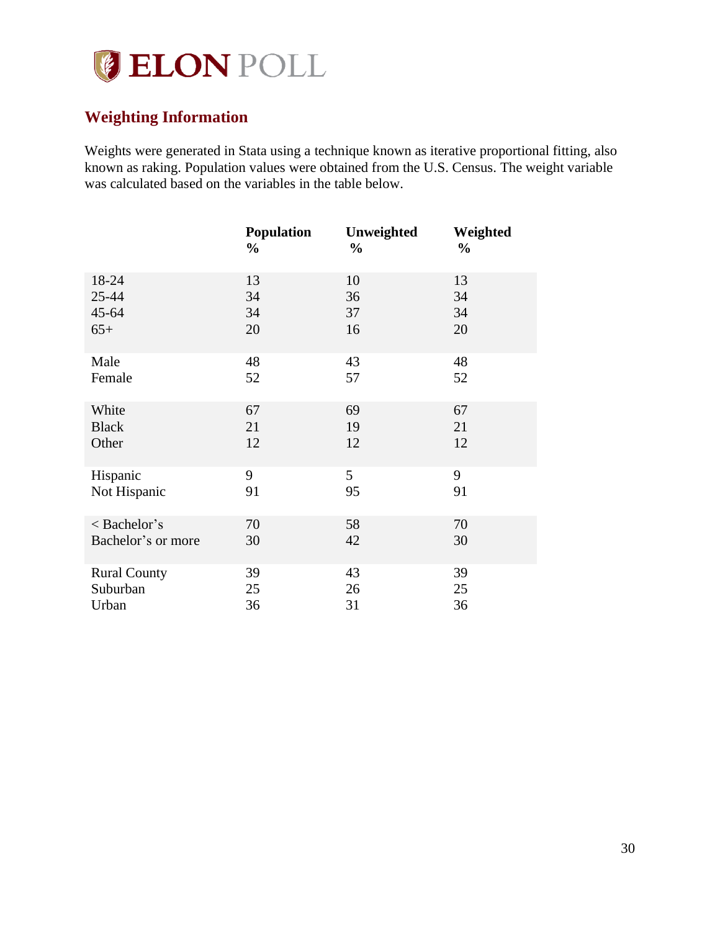

# <span id="page-29-0"></span>**Weighting Information**

Weights were generated in Stata using a technique known as iterative proportional fitting, also known as raking. Population values were obtained from the U.S. Census. The weight variable was calculated based on the variables in the table below.

|                     | <b>Population</b><br>$\frac{0}{0}$ | Unweighted<br>$\frac{0}{0}$ | Weighted<br>$\frac{0}{0}$ |
|---------------------|------------------------------------|-----------------------------|---------------------------|
| 18-24               | 13                                 | 10                          | 13                        |
| $25 - 44$           | 34                                 | 36                          | 34                        |
| $45 - 64$           | 34                                 | 37                          | 34                        |
| $65+$               | 20                                 | 16                          | 20                        |
| Male                | 48                                 | 43                          | 48                        |
| Female              | 52                                 | 57                          | 52                        |
| White               | 67                                 | 69                          | 67                        |
| <b>Black</b>        | 21                                 | 19                          | 21                        |
| Other               | 12                                 | 12                          | 12                        |
| Hispanic            | 9                                  | 5                           | 9                         |
| Not Hispanic        | 91                                 | 95                          | 91                        |
| < Bachelor's        | 70                                 | 58                          | 70                        |
| Bachelor's or more  | 30                                 | 42                          | 30                        |
| <b>Rural County</b> | 39                                 | 43                          | 39                        |
| Suburban            | 25                                 | 26                          | 25                        |
| Urban               | 36                                 | 31                          | 36                        |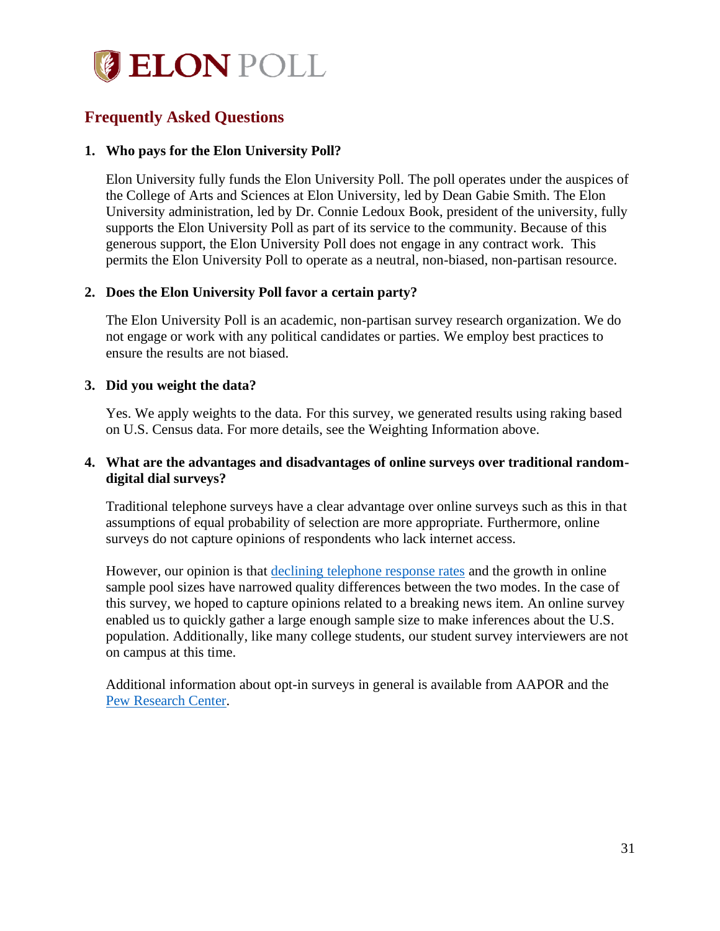

# <span id="page-30-0"></span>**Frequently Asked Questions**

#### **1. Who pays for the Elon University Poll?**

Elon University fully funds the Elon University Poll. The poll operates under the auspices of the College of Arts and Sciences at Elon University, led by Dean Gabie Smith. The Elon University administration, led by Dr. Connie Ledoux Book, president of the university, fully supports the Elon University Poll as part of its service to the community. Because of this generous support, the Elon University Poll does not engage in any contract work. This permits the Elon University Poll to operate as a neutral, non-biased, non-partisan resource.

### **2. Does the Elon University Poll favor a certain party?**

The Elon University Poll is an academic, non-partisan survey research organization. We do not engage or work with any political candidates or parties. We employ best practices to ensure the results are not biased.

### **3. Did you weight the data?**

Yes. We apply weights to the data. For this survey, we generated results using raking based on U.S. Census data. For more details, see the Weighting Information above.

### **4. What are the advantages and disadvantages of online surveys over traditional randomdigital dial surveys?**

Traditional telephone surveys have a clear advantage over online surveys such as this in that assumptions of equal probability of selection are more appropriate. Furthermore, online surveys do not capture opinions of respondents who lack internet access.

However, our opinion is that [declining telephone response rates](http://www.pewresearch.org/fact-tank/2019/02/27/response-rates-in-telephone-surveys-have-resumed-their-decline/) and the growth in online sample pool sizes have narrowed quality differences between the two modes. In the case of this survey, we hoped to capture opinions related to a breaking news item. An online survey enabled us to quickly gather a large enough sample size to make inferences about the U.S. population. Additionally, like many college students, our student survey interviewers are not on campus at this time.

Additional information about opt-in surveys in general is available from AAPOR and the [Pew Research Center.](http://www.pewresearch.org/fact-tank/2018/08/06/what-are-nonprobability-surveys/)